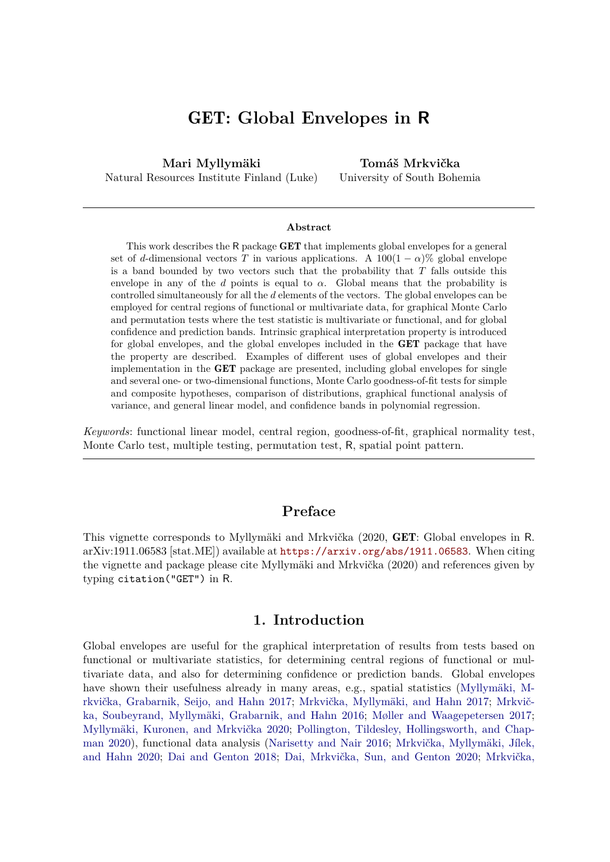# GET**: Global Envelopes in R**

**Mari Myllymäki** Natural Resources Institute Finland (Luke)

**Tomáš Mrkvička** University of South Bohemia

#### **Abstract**

This work describes the R package **GET** that implements global envelopes for a general set of *d*-dimensional vectors *T* in various applications. A  $100(1 - \alpha)\%$  global envelope is a band bounded by two vectors such that the probability that *T* falls outside this envelope in any of the *d* points is equal to  $\alpha$ . Global means that the probability is controlled simultaneously for all the *d* elements of the vectors. The global envelopes can be employed for central regions of functional or multivariate data, for graphical Monte Carlo and permutation tests where the test statistic is multivariate or functional, and for global confidence and prediction bands. Intrinsic graphical interpretation property is introduced for global envelopes, and the global envelopes included in the GET package that have the property are described. Examples of different uses of global envelopes and their implementation in the GET package are presented, including global envelopes for single and several one- or two-dimensional functions, Monte Carlo goodness-of-fit tests for simple and composite hypotheses, comparison of distributions, graphical functional analysis of variance, and general linear model, and confidence bands in polynomial regression.

*Keywords*: functional linear model, central region, goodness-of-fit, graphical normality test, Monte Carlo test, multiple testing, permutation test, R, spatial point pattern.

# **Preface**

This vignette corresponds to Myllymäki and Mrkvička (2020, GET: Global envelopes in R. arXiv:1911.06583 [stat.ME]) available at <https://arxiv.org/abs/1911.06583>. When citing the vignette and package please cite Myllymäki and Mrkvička (2020) and references given by typing citation("GET") in R.

### **1. Introduction**

<span id="page-0-0"></span>Global envelopes are useful for the graphical interpretation of results from tests based on functional or multivariate statistics, for determining central regions of functional or multivariate data, and also for determining confidence or prediction bands. Global envelopes have shown their usefulness already in many areas, e.g., spatial statistics [\(Myllymäki, M](#page-34-0)[rkvička, Grabarnik, Seijo, and Hahn 2017;](#page-34-0) [Mrkvička, Myllymäki, and Hahn 2017;](#page-34-1) [Mrkvič](#page-34-2)[ka, Soubeyrand, Myllymäki, Grabarnik, and Hahn 2016;](#page-34-2) [Møller and Waagepetersen 2017;](#page-34-3) [Myllymäki, Kuronen, and Mrkvička 2020;](#page-34-4) [Pollington, Tildesley, Hollingsworth, and Chap](#page-35-0)[man 2020\)](#page-35-0), functional data analysis [\(Narisetty and Nair 2016;](#page-35-1) [Mrkvička, Myllymäki, Jílek,](#page-34-5) [and Hahn 2020;](#page-34-5) [Dai and Genton 2018;](#page-31-0) [Dai, Mrkvička, Sun, and Genton 2020;](#page-31-1) [Mrkvička,](#page-34-6)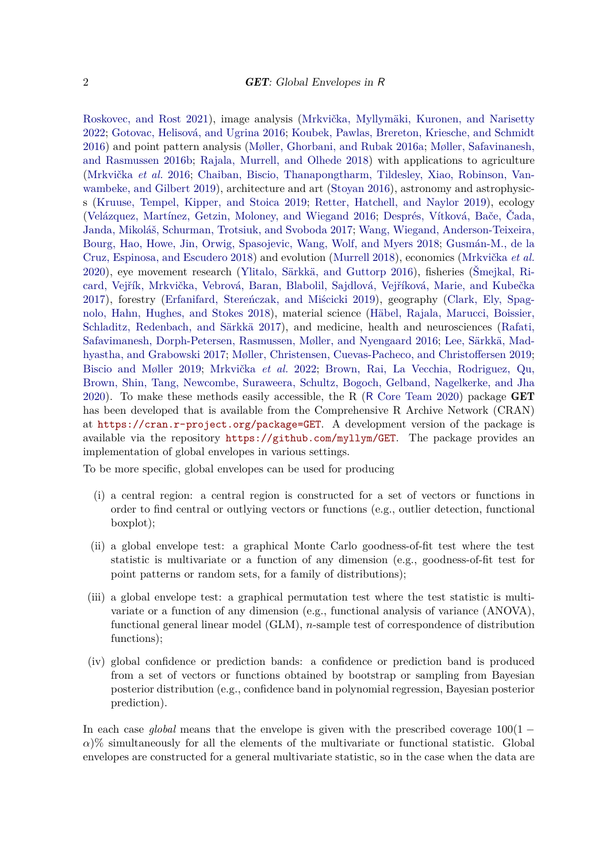[Roskovec, and Rost 2021\)](#page-34-6), image analysis [\(Mrkvička, Myllymäki, Kuronen, and Narisetty](#page-34-7) [2022;](#page-34-7) [Gotovac, Helisová, and Ugrina 2016;](#page-32-0) [Koubek, Pawlas, Brereton, Kriesche, and Schmidt](#page-33-0) [2016\)](#page-33-0) and point pattern analysis [\(Møller, Ghorbani, and Rubak 2016a;](#page-34-8) [Møller, Safavinanesh,](#page-34-9) [and Rasmussen 2016b;](#page-34-9) [Rajala, Murrell, and Olhede 2018\)](#page-35-2) with applications to agriculture [\(Mrkvička](#page-34-2) *et al.* [2016;](#page-34-2) [Chaiban, Biscio, Thanapongtharm, Tildesley, Xiao, Robinson, Van](#page-31-2)[wambeke, and Gilbert 2019\)](#page-31-2), architecture and art [\(Stoyan 2016\)](#page-35-3), astronomy and astrophysics [\(Kruuse, Tempel, Kipper, and Stoica 2019;](#page-33-1) [Retter, Hatchell, and Naylor 2019\)](#page-35-4), ecology [\(Velázquez, Martínez, Getzin, Moloney, and Wiegand 2016;](#page-36-0) [Després, Vítková, Bače, Čada,](#page-32-1) [Janda, Mikoláš, Schurman, Trotsiuk, and Svoboda 2017;](#page-32-1) [Wang, Wiegand, Anderson-Teixeira,](#page-36-1) [Bourg, Hao, Howe, Jin, Orwig, Spasojevic, Wang, Wolf, and Myers 2018;](#page-36-1) [Gusmán-M., de la](#page-33-2) [Cruz, Espinosa, and Escudero 2018\)](#page-33-2) and evolution [\(Murrell 2018\)](#page-34-10), economics [\(Mrkvička](#page-34-5) *et al.* [2020\)](#page-34-5), eye movement research [\(Ylitalo, Särkkä, and Guttorp 2016\)](#page-36-2), fisheries [\(Šmejkal, Ri](#page-35-5)[card, Vejřík, Mrkvička, Vebrová, Baran, Blabolil, Sajdlová, Vejříková, Marie, and Kubečka](#page-35-5) [2017\)](#page-35-5), forestry [\(Erfanifard, Stereńczak, and Miścicki 2019\)](#page-32-2), geography [\(Clark, Ely, Spag](#page-31-3)[nolo, Hahn, Hughes, and Stokes 2018\)](#page-31-3), material science [\(Häbel, Rajala, Marucci, Boissier,](#page-33-3) [Schladitz, Redenbach, and Särkkä 2017\)](#page-33-3), and medicine, health and neurosciences [\(Rafati,](#page-35-6) [Safavimanesh, Dorph-Petersen, Rasmussen, Møller, and Nyengaard 2016;](#page-35-6) [Lee, Särkkä, Mad](#page-33-4)[hyastha, and Grabowski 2017;](#page-33-4) [Møller, Christensen, Cuevas-Pacheco, and Christoffersen 2019;](#page-33-5) [Biscio and Møller 2019;](#page-31-4) [Mrkvička](#page-34-7) *et al.* [2022;](#page-34-7) [Brown, Rai, La Vecchia, Rodriguez, Qu,](#page-31-5) [Brown, Shin, Tang, Newcombe, Suraweera, Schultz, Bogoch, Gelband, Nagelkerke, and Jha](#page-31-5) [2020\)](#page-31-5). To make these methods easily accessible, the R (R [Core Team 2020\)](#page-35-7) package GET has been developed that is available from the Comprehensive R Archive Network (CRAN) at <https://cran.r-project.org/package=GET>. A development version of the package is available via the repository <https://github.com/myllym/GET>. The package provides an implementation of global envelopes in various settings.

To be more specific, global envelopes can be used for producing

- (i) a central region: a central region is constructed for a set of vectors or functions in order to find central or outlying vectors or functions (e.g., outlier detection, functional boxplot);
- (ii) a global envelope test: a graphical Monte Carlo goodness-of-fit test where the test statistic is multivariate or a function of any dimension (e.g., goodness-of-fit test for point patterns or random sets, for a family of distributions);
- (iii) a global envelope test: a graphical permutation test where the test statistic is multivariate or a function of any dimension (e.g., functional analysis of variance (ANOVA), functional general linear model (GLM), *n*-sample test of correspondence of distribution functions);
- (iv) global confidence or prediction bands: a confidence or prediction band is produced from a set of vectors or functions obtained by bootstrap or sampling from Bayesian posterior distribution (e.g., confidence band in polynomial regression, Bayesian posterior prediction).

In each case *global* means that the envelope is given with the prescribed coverage  $100(1 \alpha$ )% simultaneously for all the elements of the multivariate or functional statistic. Global envelopes are constructed for a general multivariate statistic, so in the case when the data are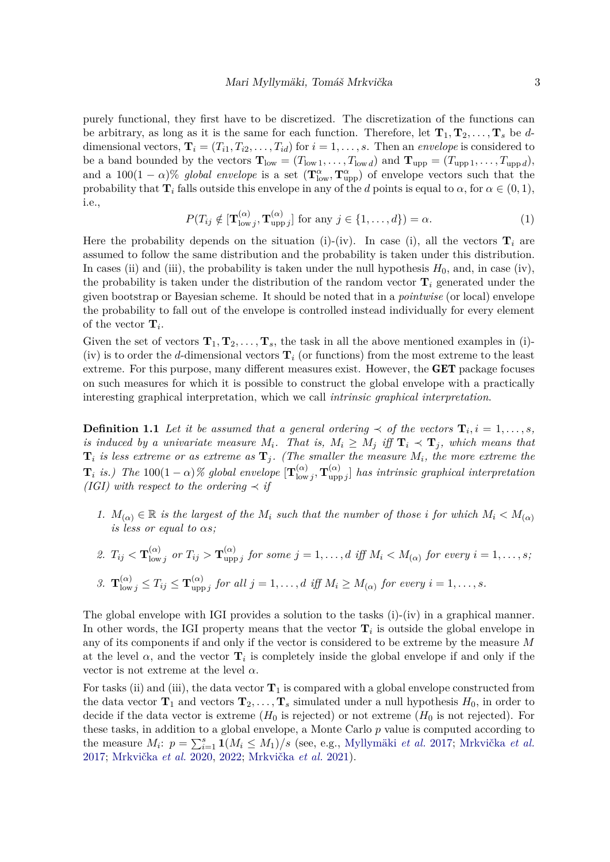purely functional, they first have to be discretized. The discretization of the functions can be arbitrary, as long as it is the same for each function. Therefore, let  $\mathbf{T}_1, \mathbf{T}_2, \ldots, \mathbf{T}_s$  be *d*dimensional vectors,  $\mathbf{T}_i = (T_{i1}, T_{i2}, \dots, T_{id})$  for  $i = 1, \dots, s$ . Then an *envelope* is considered to be a band bounded by the vectors  $\mathbf{T}_{\text{low}} = (T_{\text{low }1}, \ldots, T_{\text{low }d})$  and  $\mathbf{T}_{\text{upp}} = (T_{\text{upp }1}, \ldots, T_{\text{upp }d})$ , and a 100(1 – *α*)% *global envelope* is a set  $(\mathbf{T}^{\alpha}_{\text{low}}, \mathbf{T}^{\alpha}_{\text{upp}})$  of envelope vectors such that the probability that **T**<sub>*i*</sub> falls outside this envelope in any of the *d* points is equal to  $\alpha$ , for  $\alpha \in (0,1)$ , i.e.,

$$
P(T_{ij} \notin [\mathbf{T}_{\text{low } j}^{(\alpha)}, \mathbf{T}_{\text{upp } j}^{(\alpha)}] \text{ for any } j \in \{1, \dots, d\}) = \alpha.
$$
 (1)

Here the probability depends on the situation (i)-(iv). In case (i), all the vectors  $\mathbf{T}_i$  are assumed to follow the same distribution and the probability is taken under this distribution. In cases (ii) and (iii), the probability is taken under the null hypothesis  $H_0$ , and, in case (iv), the probability is taken under the distribution of the random vector  $\mathbf{T}_i$  generated under the given bootstrap or Bayesian scheme. It should be noted that in a *pointwise* (or local) envelope the probability to fall out of the envelope is controlled instead individually for every element of the vector  $\mathbf{T}_i$ .

Given the set of vectors  $\mathbf{T}_1, \mathbf{T}_2, \ldots, \mathbf{T}_s$ , the task in all the above mentioned examples in (i)-(iv) is to order the *d*-dimensional vectors  $\mathbf{T}_i$  (or functions) from the most extreme to the least extreme. For this purpose, many different measures exist. However, the GET package focuses on such measures for which it is possible to construct the global envelope with a practically interesting graphical interpretation, which we call *intrinsic graphical interpretation*.

<span id="page-2-0"></span>**Definition 1.1** *Let it be assumed that a general ordering*  $\prec$  *of the vectors*  $\mathbf{T}_i$ ,  $i = 1, \ldots, s$ *, is induced by a univariate measure*  $M_i$ . That is,  $M_i \geq M_j$  *iff*  $\mathbf{T}_i \prec \mathbf{T}_j$ , which means that  $\mathbf{T}_i$  *is less extreme or as extreme as*  $\mathbf{T}_j$ . (The smaller the measure  $M_i$ , the more extreme the  $\mathbf{T}_i$  *is.)* The 100(1 –  $\alpha$ )% global envelope  $[\mathbf{T}_{\text{low}}^{(\alpha)}]$  $\frac{(\alpha)}{\operatorname{low} j}, \mathbf{T}^{(\alpha)}_{\operatorname{upj}}$  $\begin{bmatrix} \n\alpha_j \\ \n\alpha_p \n\end{bmatrix}$  has intrinsic graphical interpretation *(IGI)* with respect to the ordering  $\prec$  *if* 

*1.*  $M_{(\alpha)} \in \mathbb{R}$  *is the largest of the*  $M_i$  *such that the number of those i for which*  $M_i \lt M_{(\alpha)}$ *is less or equal to αs;*

2. 
$$
T_{ij} < \mathbf{T}_{lowj}^{(\alpha)}
$$
 or  $T_{ij} > \mathbf{T}_{uppj}^{(\alpha)}$  for some  $j = 1, ..., d$  iff  $M_i < M_{(\alpha)}$  for every  $i = 1, ..., s$ ;

3. 
$$
\mathbf{T}_{\text{low }j}^{(\alpha)} \leq T_{ij} \leq \mathbf{T}_{\text{upp }j}^{(\alpha)}
$$
 for all  $j = 1, ..., d$  iff  $M_i \geq M_{(\alpha)}$  for every  $i = 1, ..., s$ .

The global envelope with IGI provides a solution to the tasks (i)-(iv) in a graphical manner. In other words, the IGI property means that the vector  $\mathbf{T}_i$  is outside the global envelope in any of its components if and only if the vector is considered to be extreme by the measure *M* at the level  $\alpha$ , and the vector  $\mathbf{T}_i$  is completely inside the global envelope if and only if the vector is not extreme at the level  $\alpha$ .

For tasks (ii) and (iii), the data vector  $\mathbf{T}_1$  is compared with a global envelope constructed from the data vector  $\mathbf{T}_1$  and vectors  $\mathbf{T}_2, \ldots, \mathbf{T}_s$  simulated under a null hypothesis  $H_0$ , in order to decide if the data vector is extreme  $(H_0$  is rejected) or not extreme  $(H_0$  is not rejected). For these tasks, in addition to a global envelope, a Monte Carlo *p* value is computed according to the measure  $M_i$ :  $p = \sum_{i=1}^s 1(M_i \leq M_1)/s$  (see, e.g., [Myllymäki](#page-34-0) *et al.* [2017;](#page-34-0) [Mrkvička](#page-34-1) *et al.* [2017;](#page-34-1) [Mrkvička](#page-34-5) *et al.* [2020,](#page-34-5) [2022;](#page-34-7) [Mrkvička](#page-34-6) *et al.* [2021\)](#page-34-6).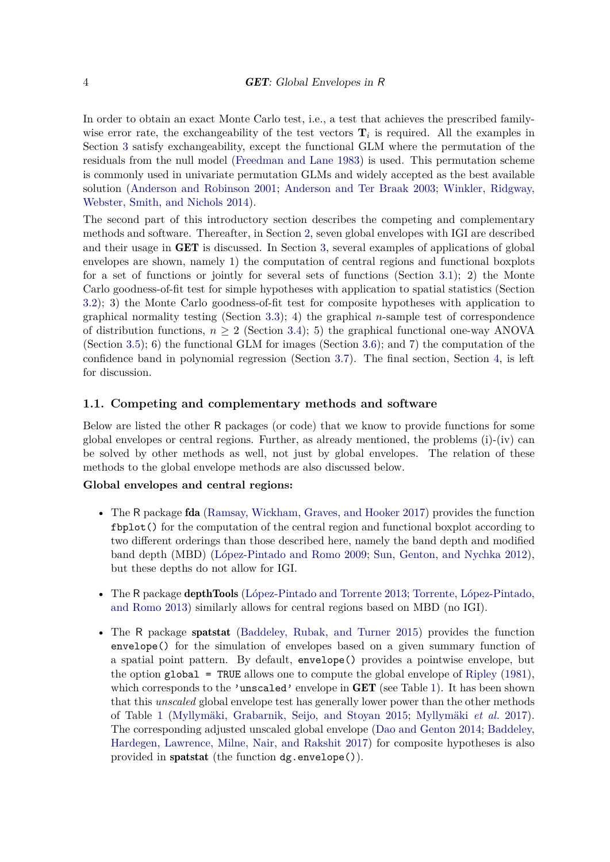In order to obtain an exact Monte Carlo test, i.e., a test that achieves the prescribed familywise error rate, the exchangeability of the test vectors  $\mathbf{T}_i$  is required. All the examples in Section [3](#page-13-0) satisfy exchangeability, except the functional GLM where the permutation of the residuals from the null model [\(Freedman and Lane 1983\)](#page-32-3) is used. This permutation scheme is commonly used in univariate permutation GLMs and widely accepted as the best available solution [\(Anderson and Robinson 2001;](#page-30-0) [Anderson and Ter Braak 2003;](#page-30-1) [Winkler, Ridgway,](#page-36-3) [Webster, Smith, and Nichols 2014\)](#page-36-3).

The second part of this introductory section describes the competing and complementary methods and software. Thereafter, in Section [2,](#page-5-0) seven global envelopes with IGI are described and their usage in GET is discussed. In Section [3,](#page-13-0) several examples of applications of global envelopes are shown, namely 1) the computation of central regions and functional boxplots for a set of functions or jointly for several sets of functions (Section [3.1\)](#page-13-1); 2) the Monte Carlo goodness-of-fit test for simple hypotheses with application to spatial statistics (Section [3.2\)](#page-15-0); 3) the Monte Carlo goodness-of-fit test for composite hypotheses with application to graphical normality testing (Section [3.3\)](#page-18-0); 4) the graphical *n*-sample test of correspondence of distribution functions,  $n > 2$  (Section [3.4\)](#page-19-0); 5) the graphical functional one-way ANOVA (Section [3.5\)](#page-20-0); 6) the functional GLM for images (Section [3.6\)](#page-23-0); and 7) the computation of the confidence band in polynomial regression (Section [3.7\)](#page-27-0). The final section, Section [4,](#page-28-0) is left for discussion.

### **1.1. Competing and complementary methods and software**

Below are listed the other R packages (or code) that we know to provide functions for some global envelopes or central regions. Further, as already mentioned, the problems (i)-(iv) can be solved by other methods as well, not just by global envelopes. The relation of these methods to the global envelope methods are also discussed below.

#### **Global envelopes and central regions:**

- The R package **fda** [\(Ramsay, Wickham, Graves, and Hooker 2017\)](#page-35-8) provides the function fbplot() for the computation of the central region and functional boxplot according to two different orderings than those described here, namely the band depth and modified band depth (MBD) [\(López-Pintado and Romo 2009;](#page-33-6) [Sun, Genton, and Nychka 2012\)](#page-36-4), but these depths do not allow for IGI.
- The R package depthTools [\(López-Pintado and Torrente 2013;](#page-33-7) [Torrente, López-Pintado,](#page-36-5) [and Romo 2013\)](#page-36-5) similarly allows for central regions based on MBD (no IGI).
- The R package spatstat [\(Baddeley, Rubak, and Turner 2015\)](#page-30-2) provides the function envelope() for the simulation of envelopes based on a given summary function of a spatial point pattern. By default, envelope() provides a pointwise envelope, but the option  $g$ lobal = TRUE allows one to compute the global envelope of [Ripley](#page-35-9) [\(1981\)](#page-35-9), which corresponds to the 'unscaled' envelope in  $GET$  (see Table [1\)](#page-6-0). It has been shown that this *unscaled* global envelope test has generally lower power than the other methods of Table [1](#page-6-0) [\(Myllymäki, Grabarnik, Seijo, and Stoyan 2015;](#page-34-11) [Myllymäki](#page-34-0) *et al.* [2017\)](#page-34-0). The corresponding adjusted unscaled global envelope [\(Dao and Genton 2014;](#page-31-6) [Baddeley,](#page-30-3) [Hardegen, Lawrence, Milne, Nair, and Rakshit 2017\)](#page-30-3) for composite hypotheses is also provided in spatstat (the function dg.envelope()).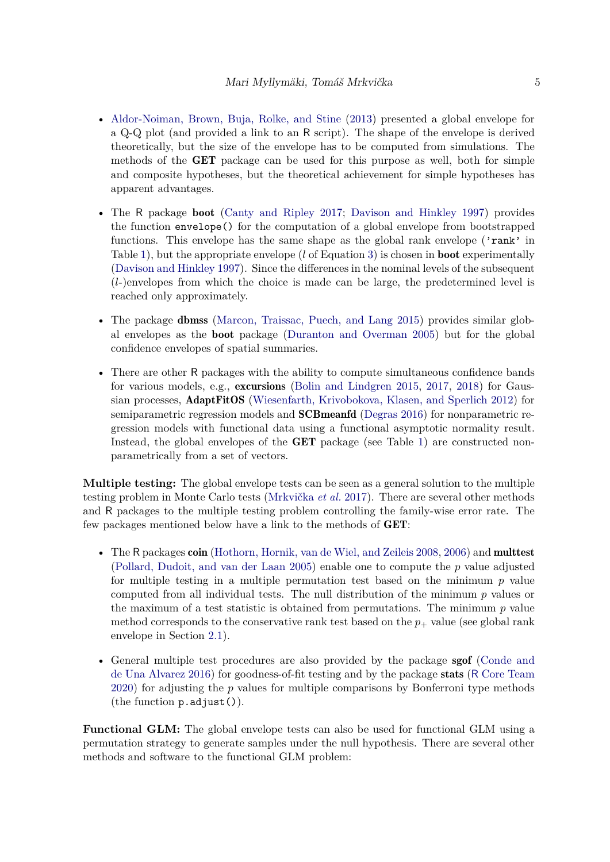- [Aldor-Noiman, Brown, Buja, Rolke, and Stine](#page-30-4) [\(2013\)](#page-30-4) presented a global envelope for a Q-Q plot (and provided a link to an R script). The shape of the envelope is derived theoretically, but the size of the envelope has to be computed from simulations. The methods of the GET package can be used for this purpose as well, both for simple and composite hypotheses, but the theoretical achievement for simple hypotheses has apparent advantages.
- The R package boot [\(Canty and Ripley 2017;](#page-31-7) [Davison and Hinkley 1997\)](#page-32-4) provides the function envelope() for the computation of a global envelope from bootstrapped functions. This envelope has the same shape as the global rank envelope ('rank' in Table [1\)](#page-6-0), but the appropriate envelope (*l* of Equation [3\)](#page-8-0) is chosen in boot experimentally [\(Davison and Hinkley 1997\)](#page-32-4). Since the differences in the nominal levels of the subsequent (*l*-)envelopes from which the choice is made can be large, the predetermined level is reached only approximately.
- The package **dbmss** [\(Marcon, Traissac, Puech, and Lang 2015\)](#page-33-8) provides similar global envelopes as the boot package [\(Duranton and Overman 2005\)](#page-32-5) but for the global confidence envelopes of spatial summaries.
- There are other R packages with the ability to compute simultaneous confidence bands for various models, e.g., excursions [\(Bolin and Lindgren 2015,](#page-31-8) [2017,](#page-31-9) [2018\)](#page-31-10) for Gaussian processes, AdaptFitOS [\(Wiesenfarth, Krivobokova, Klasen, and Sperlich 2012\)](#page-36-6) for semiparametric regression models and SCBmeanfd [\(Degras 2016\)](#page-32-6) for nonparametric regression models with functional data using a functional asymptotic normality result. Instead, the global envelopes of the GET package (see Table [1\)](#page-6-0) are constructed nonparametrically from a set of vectors.

**Multiple testing:** The global envelope tests can be seen as a general solution to the multiple testing problem in Monte Carlo tests [\(Mrkvička](#page-34-1) *et al.* [2017\)](#page-34-1). There are several other methods and R packages to the multiple testing problem controlling the family-wise error rate. The few packages mentioned below have a link to the methods of GET:

- The R packages coin [\(Hothorn, Hornik, van de Wiel, and Zeileis 2008,](#page-33-9) [2006\)](#page-33-10) and multtest [\(Pollard, Dudoit, and van der Laan 2005\)](#page-35-10) enable one to compute the *p* value adjusted for multiple testing in a multiple permutation test based on the minimum *p* value computed from all individual tests. The null distribution of the minimum *p* values or the maximum of a test statistic is obtained from permutations. The minimum *p* value method corresponds to the conservative rank test based on the  $p_{+}$  value (see global rank envelope in Section [2.1\)](#page-6-1).
- General multiple test procedures are also provided by the package **sgof** [\(Conde and](#page-31-11) [de Una Alvarez 2016\)](#page-31-11) for goodness-of-fit testing and by the package stats (R [Core Team](#page-35-7) [2020\)](#page-35-7) for adjusting the *p* values for multiple comparisons by Bonferroni type methods (the function p.adjust()).

**Functional GLM:** The global envelope tests can also be used for functional GLM using a permutation strategy to generate samples under the null hypothesis. There are several other methods and software to the functional GLM problem: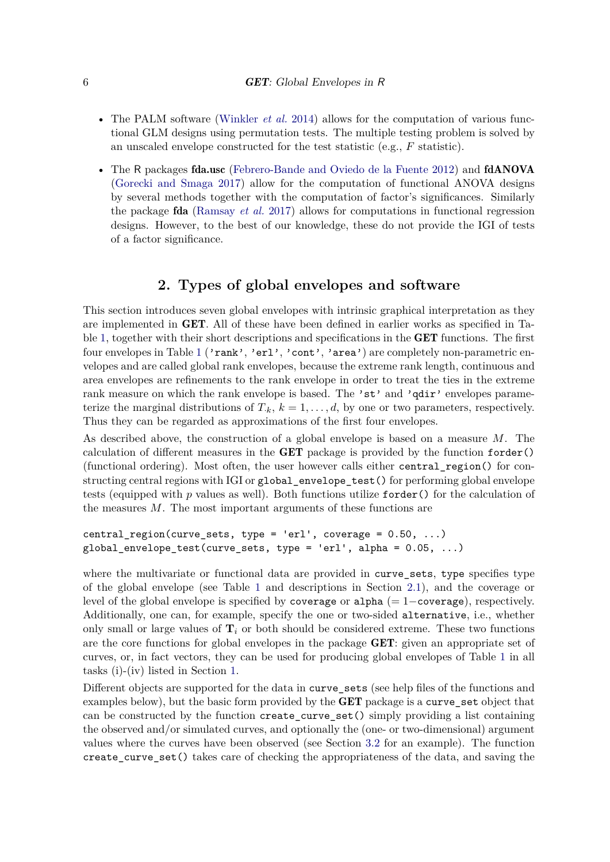- The PALM software [\(Winkler](#page-36-3) *et al.* [2014\)](#page-36-3) allows for the computation of various functional GLM designs using permutation tests. The multiple testing problem is solved by an unscaled envelope constructed for the test statistic (e.g., *F* statistic).
- The R packages fda.usc [\(Febrero-Bande and Oviedo de la Fuente 2012\)](#page-32-7) and fdANOVA [\(Gorecki and Smaga 2017\)](#page-32-8) allow for the computation of functional ANOVA designs by several methods together with the computation of factor's significances. Similarly the package fda [\(Ramsay](#page-35-8) *et al.* [2017\)](#page-35-8) allows for computations in functional regression designs. However, to the best of our knowledge, these do not provide the IGI of tests of a factor significance.

# **2. Types of global envelopes and software**

<span id="page-5-0"></span>This section introduces seven global envelopes with intrinsic graphical interpretation as they are implemented in GET. All of these have been defined in earlier works as specified in Table [1,](#page-6-0) together with their short descriptions and specifications in the GET functions. The first four envelopes in Table [1](#page-6-0) ('rank', 'erl', 'cont', 'area') are completely non-parametric envelopes and are called global rank envelopes, because the extreme rank length, continuous and area envelopes are refinements to the rank envelope in order to treat the ties in the extreme rank measure on which the rank envelope is based. The 'st' and 'qdir' envelopes parameterize the marginal distributions of  $T_{k}$ ,  $k = 1, \ldots, d$ , by one or two parameters, respectively. Thus they can be regarded as approximations of the first four envelopes.

As described above, the construction of a global envelope is based on a measure *M*. The calculation of different measures in the GET package is provided by the function forder() (functional ordering). Most often, the user however calls either central\_region() for constructing central regions with IGI or global\_envelope\_test() for performing global envelope tests (equipped with *p* values as well). Both functions utilize forder() for the calculation of the measures *M*. The most important arguments of these functions are

```
central_region(curve_sets, type = 'erl', coverage = 0.50, ...)
global envelope test(curve sets, type = 'erl', alpha = 0.05, ...)
```
where the multivariate or functional data are provided in curve\_sets, type specifies type of the global envelope (see Table [1](#page-6-0) and descriptions in Section [2.1\)](#page-6-1), and the coverage or level of the global envelope is specified by coverage or alpha  $(= 1$ –coverage), respectively. Additionally, one can, for example, specify the one or two-sided alternative, i.e., whether only small or large values of  $\mathbf{T}_i$  or both should be considered extreme. These two functions are the core functions for global envelopes in the package GET: given an appropriate set of curves, or, in fact vectors, they can be used for producing global envelopes of Table [1](#page-6-0) in all tasks (i)-(iv) listed in Section [1.](#page-0-0)

Different objects are supported for the data in curve\_sets (see help files of the functions and examples below), but the basic form provided by the **GET** package is a curve\_set object that can be constructed by the function create\_curve\_set() simply providing a list containing the observed and/or simulated curves, and optionally the (one- or two-dimensional) argument values where the curves have been observed (see Section [3.2](#page-15-0) for an example). The function create\_curve\_set() takes care of checking the appropriateness of the data, and saving the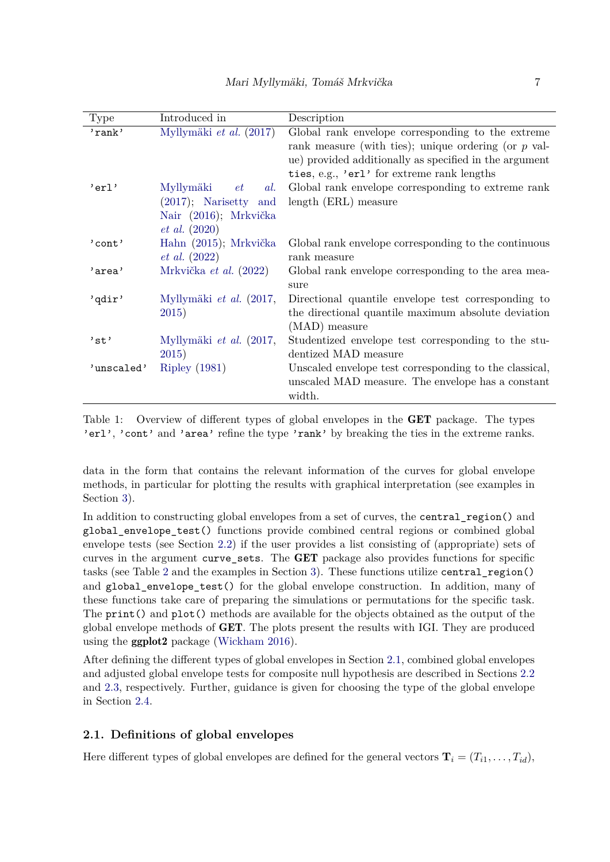| <b>Type</b> | Introduced in            | Description                                            |
|-------------|--------------------------|--------------------------------------------------------|
| 'rank'      | Myllymäki et al. (2017)  | Global rank envelope corresponding to the extreme      |
|             |                          | rank measure (with ties); unique ordering (or $p$ val- |
|             |                          | ue) provided additionally as specified in the argument |
|             |                          | ties, e.g., 'erl' for extreme rank lengths             |
| 'erl'       | Myllymäki<br>al.<br>et   | Global rank envelope corresponding to extreme rank     |
|             | $(2017)$ ; Narisetty and | length (ERL) measure                                   |
|             | Nair (2016); Mrkvička    |                                                        |
|             | $et \ al. (2020)$        |                                                        |
| $'$ cont'   | Hahn (2015); Mrkvička    | Global rank envelope corresponding to the continuous   |
|             | $et\ al.\ (2022)$        | rank measure                                           |
| 'area'      | Mrkvička et al. (2022)   | Global rank envelope corresponding to the area mea-    |
|             |                          | sure                                                   |
| 'qdir'      | Myllymäki et al. (2017,  | Directional quantile envelope test corresponding to    |
|             | 2015)                    | the directional quantile maximum absolute deviation    |
|             |                          | $(MAD)$ measure                                        |
| 'st'        | Myllymäki et al. (2017,  | Studentized envelope test corresponding to the stu-    |
|             | 2015)                    | dentized MAD measure                                   |
| 'unscaled'  | <b>Ripley</b> (1981)     | Unscaled envelope test corresponding to the classical, |
|             |                          | unscaled MAD measure. The envelope has a constant      |
|             |                          | width.                                                 |

<span id="page-6-0"></span>Table 1: Overview of different types of global envelopes in the GET package. The types 'erl', 'cont' and 'area' refine the type 'rank' by breaking the ties in the extreme ranks.

data in the form that contains the relevant information of the curves for global envelope methods, in particular for plotting the results with graphical interpretation (see examples in Section [3\)](#page-13-0).

In addition to constructing global envelopes from a set of curves, the central\_region() and global\_envelope\_test() functions provide combined central regions or combined global envelope tests (see Section [2.2\)](#page-10-0) if the user provides a list consisting of (appropriate) sets of curves in the argument curve\_sets. The GET package also provides functions for specific tasks (see Table [2](#page-7-0) and the examples in Section [3\)](#page-13-0). These functions utilize central\_region() and global\_envelope\_test() for the global envelope construction. In addition, many of these functions take care of preparing the simulations or permutations for the specific task. The print() and plot() methods are available for the objects obtained as the output of the global envelope methods of GET. The plots present the results with IGI. They are produced using the ggplot2 package [\(Wickham 2016\)](#page-36-7).

After defining the different types of global envelopes in Section [2.1,](#page-6-1) combined global envelopes and adjusted global envelope tests for composite null hypothesis are described in Sections [2.2](#page-10-0) and [2.3,](#page-11-0) respectively. Further, guidance is given for choosing the type of the global envelope in Section [2.4.](#page-12-0)

### <span id="page-6-1"></span>**2.1. Definitions of global envelopes**

Here different types of global envelopes are defined for the general vectors  $\mathbf{T}_i = (T_{i1}, \ldots, T_{id})$ ,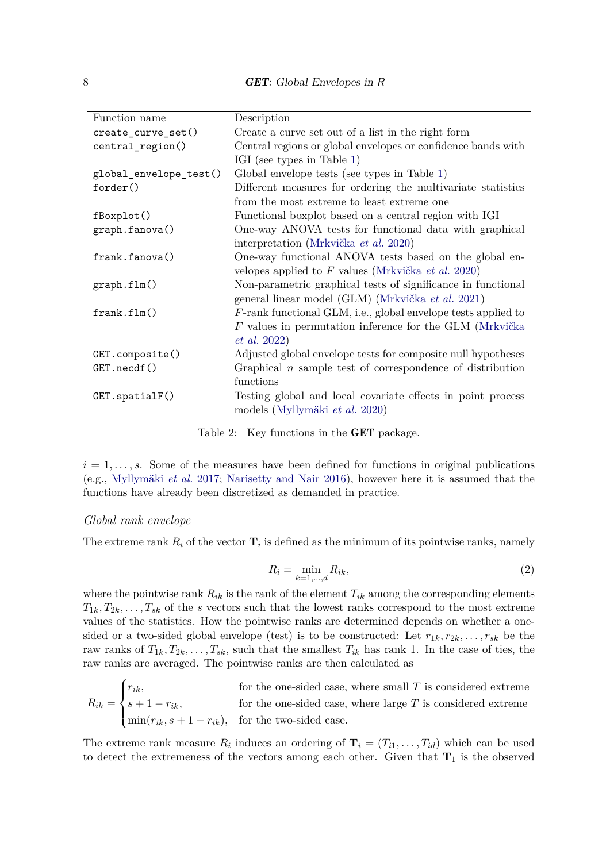8 **GET**: Global Envelopes in R

| Function name           | Description                                                      |
|-------------------------|------------------------------------------------------------------|
| create_curve_set()      | Create a curve set out of a list in the right form               |
| central_region()        | Central regions or global envelopes or confidence bands with     |
|                         | IGI (see types in Table 1)                                       |
| global_envelope_test()  | Global envelope tests (see types in Table 1)                     |
| forder()                | Different measures for ordering the multivariate statistics      |
|                         | from the most extreme to least extreme one                       |
| fBoxplot()              | Functional boxplot based on a central region with IGI            |
| graph.fanova()          | One-way ANOVA tests for functional data with graphical           |
|                         | interpretation (Mrkvička et al. 2020)                            |
| frank.fanova()          | One-way functional ANOVA tests based on the global en-           |
|                         | velopes applied to $F$ values (Mrkvička <i>et al.</i> 2020)      |
| graph.flm()             | Non-parametric graphical tests of significance in functional     |
|                         | general linear model (GLM) (Mrkvička et al. 2021)                |
| frank.flm()             | $F$ -rank functional GLM, i.e., global envelope tests applied to |
|                         | $F$ values in permutation inference for the GLM (Mrkvička        |
|                         | $et\ al.\ 2022)$                                                 |
| GET.compile()           | Adjusted global envelope tests for composite null hypotheses     |
| GET.necdf()             | Graphical $n$ sample test of correspondence of distribution      |
|                         | functions                                                        |
| $GET.\text{spatialF}()$ | Testing global and local covariate effects in point process      |
|                         | models (Myllymäki et al. 2020)                                   |
|                         |                                                                  |

<span id="page-7-0"></span>Table 2: Key functions in the GET package.

 $i = 1, \ldots, s$ . Some of the measures have been defined for functions in original publications (e.g., [Myllymäki](#page-34-0) *et al.* [2017;](#page-34-0) [Narisetty and Nair 2016\)](#page-35-1), however here it is assumed that the functions have already been discretized as demanded in practice.

#### *Global rank envelope*

<span id="page-7-1"></span>The extreme rank  $R_i$  of the vector  $\mathbf{T}_i$  is defined as the minimum of its pointwise ranks, namely

$$
R_i = \min_{k=1,\dots,d} R_{ik},\tag{2}
$$

where the pointwise rank  $R_{ik}$  is the rank of the element  $T_{ik}$  among the corresponding elements  $T_{1k}, T_{2k}, \ldots, T_{sk}$  of the *s* vectors such that the lowest ranks correspond to the most extreme values of the statistics. How the pointwise ranks are determined depends on whether a onesided or a two-sided global envelope (test) is to be constructed: Let  $r_{1k}, r_{2k}, \ldots, r_{sk}$  be the raw ranks of  $T_{1k}, T_{2k}, \ldots, T_{sk}$ , such that the smallest  $T_{ik}$  has rank 1. In the case of ties, the raw ranks are averaged. The pointwise ranks are then calculated as

$$
R_{ik} = \begin{cases} r_{ik}, & \text{for the one-sided case, where small } T \text{ is considered extreme} \\ s+1-r_{ik}, & \text{for the one-sided case, where large } T \text{ is considered extreme} \\ \min(r_{ik}, s+1-r_{ik}), & \text{for the two-sided case.} \end{cases}
$$

The extreme rank measure  $R_i$  induces an ordering of  $\mathbf{T}_i = (T_{i1}, \ldots, T_{id})$  which can be used to detect the extremeness of the vectors among each other. Given that  $T_1$  is the observed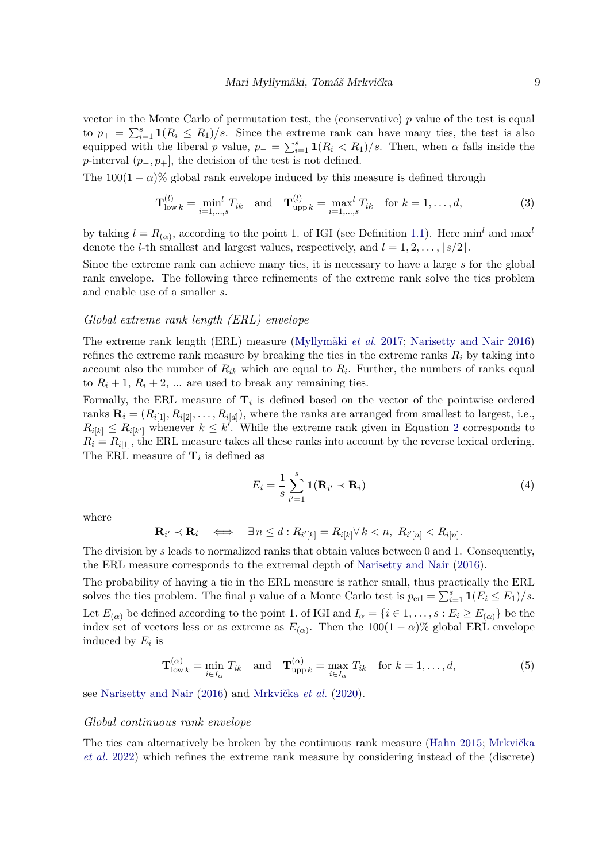vector in the Monte Carlo of permutation test, the (conservative) *p* value of the test is equal to  $p_{+} = \sum_{i=1}^{s} \mathbf{1}(R_i \leq R_1)/s$ . Since the extreme rank can have many ties, the test is also equipped with the liberal *p* value,  $p_-=\sum_{i=1}^s \mathbf{1}(R_i < R_1)/s$ . Then, when  $\alpha$  falls inside the *p*-interval  $(p_-, p_+]$ , the decision of the test is not defined.

The  $100(1 - \alpha)\%$  global rank envelope induced by this measure is defined through

<span id="page-8-0"></span>
$$
\mathbf{T}_{\text{low }k}^{(l)} = \min_{i=1,\dots,s}^{l} T_{ik} \quad \text{and} \quad \mathbf{T}_{\text{upp }k}^{(l)} = \max_{i=1,\dots,s}^{l} T_{ik} \quad \text{for } k = 1,\dots,d,
$$
 (3)

by taking  $l = R_{(\alpha)}$ , according to the point 1. of IGI (see Definition [1.1\)](#page-2-0). Here min<sup>l</sup> and max<sup>l</sup> denote the *l*-th smallest and largest values, respectively, and  $l = 1, 2, \ldots, |s/2|$ .

Since the extreme rank can achieve many ties, it is necessary to have a large *s* for the global rank envelope. The following three refinements of the extreme rank solve the ties problem and enable use of a smaller *s*.

#### *Global extreme rank length (ERL) envelope*

The extreme rank length (ERL) measure [\(Myllymäki](#page-34-0) *et al.* [2017;](#page-34-0) [Narisetty and Nair 2016\)](#page-35-1) refines the extreme rank measure by breaking the ties in the extreme ranks  $R_i$  by taking into account also the number of  $R_{ik}$  which are equal to  $R_i$ . Further, the numbers of ranks equal to  $R_i + 1$ ,  $R_i + 2$ , ... are used to break any remaining ties.

Formally, the ERL measure of  $\mathbf{T}_i$  is defined based on the vector of the pointwise ordered ranks  $\mathbf{R}_i = (R_{i[1]}, R_{i[2]}, \dots, R_{i[d]})$ , where the ranks are arranged from smallest to largest, i.e.,  $R_{i[k]} \leq R_{i[k']}$  whenever  $k \leq k'$ . While the extreme rank given in Equation [2](#page-7-1) corresponds to  $R_i = R_{i[1]}$ , the ERL measure takes all these ranks into account by the reverse lexical ordering. The ERL measure of  $\mathbf{T}_i$  is defined as

$$
E_i = \frac{1}{s} \sum_{i'=1}^{s} \mathbf{1}(\mathbf{R}_{i'} \prec \mathbf{R}_i)
$$
\n(4)

where

$$
\mathbf{R}_{i'} \prec \mathbf{R}_i \quad \Longleftrightarrow \quad \exists \, n \leq d : R_{i'[k]} = R_{i[k]} \forall \, k < n, \ R_{i'[n]} < R_{i[n]}.
$$

The division by *s* leads to normalized ranks that obtain values between 0 and 1. Consequently, the ERL measure corresponds to the extremal depth of [Narisetty and Nair](#page-35-1) [\(2016\)](#page-35-1).

The probability of having a tie in the ERL measure is rather small, thus practically the ERL solves the ties problem. The final *p* value of a Monte Carlo test is  $p_{\text{erl}} = \sum_{i=1}^{s} \mathbf{1}(E_i \le E_1)/s$ . Let  $E_{(\alpha)}$  be defined according to the point 1. of IGI and  $I_{\alpha} = \{i \in 1, \ldots, s : E_i \ge E_{(\alpha)}\}$  be the index set of vectors less or as extreme as  $E_{(\alpha)}$ . Then the 100(1 –  $\alpha$ )% global ERL envelope induced by *E<sup>i</sup>* is

<span id="page-8-1"></span>
$$
\mathbf{T}^{(\alpha)}_{\text{low }k} = \min_{i \in I_{\alpha}} T_{ik} \quad \text{and} \quad \mathbf{T}^{(\alpha)}_{\text{upp }k} = \max_{i \in I_{\alpha}} T_{ik} \quad \text{for } k = 1, \dots, d,
$$
 (5)

see [Narisetty and Nair](#page-35-1) [\(2016\)](#page-35-1) and [Mrkvička](#page-34-5) *et al.* [\(2020\)](#page-34-5).

#### *Global continuous rank envelope*

The ties can alternatively be broken by the continuous rank measure [\(Hahn 2015;](#page-33-11) [Mrkvička](#page-34-7) *[et al.](#page-34-7)* [2022\)](#page-34-7) which refines the extreme rank measure by considering instead of the (discrete)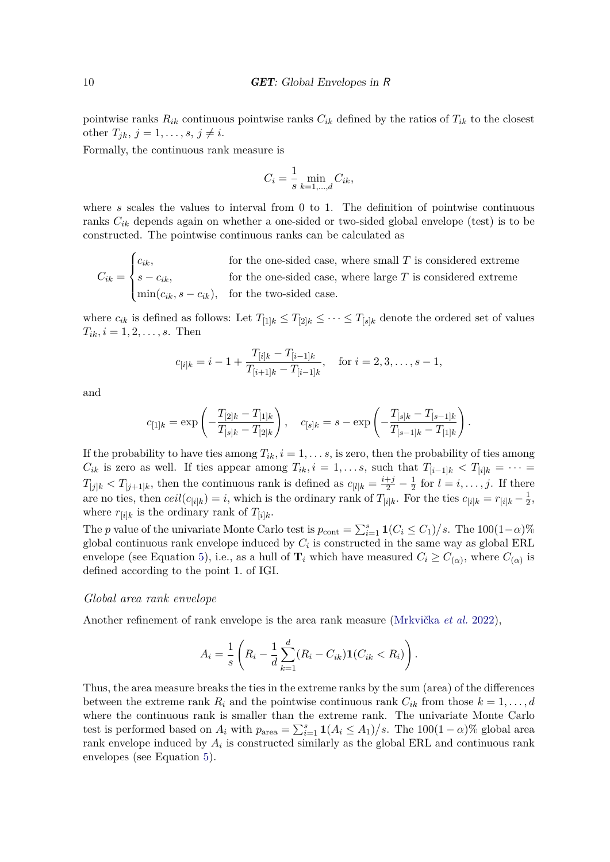pointwise ranks  $R_{ik}$  continuous pointwise ranks  $C_{ik}$  defined by the ratios of  $T_{ik}$  to the closest other  $T_{ik}$ ,  $j = 1, ..., s, j \neq i$ .

Formally, the continuous rank measure is

$$
C_i = \frac{1}{s} \min_{k=1,\dots,d} C_{ik},
$$

where *s* scales the values to interval from 0 to 1. The definition of pointwise continuous ranks  $C_{ik}$  depends again on whether a one-sided or two-sided global envelope (test) is to be constructed. The pointwise continuous ranks can be calculated as

$$
C_{ik} = \begin{cases} c_{ik}, & \text{for the one-sided case, where small } T \text{ is considered extreme} \\ s - c_{ik}, & \text{for the one-sided case, where large } T \text{ is considered extreme} \\ \min(c_{ik}, s - c_{ik}), & \text{for the two-sided case.} \end{cases}
$$

where  $c_{ik}$  is defined as follows: Let  $T_{[1]k} \leq T_{[2]k} \leq \cdots \leq T_{[s]k}$  denote the ordered set of values  $T_{ik}$ *, i* = 1*,* 2*, . . . , s.* Then

$$
c_{[i]k} = i - 1 + \frac{T_{[i]k} - T_{[i-1]k}}{T_{[i+1]k} - T_{[i-1]k}}, \quad \text{for } i = 2, 3, \dots, s - 1,
$$

and

$$
c_{[1]k} = \exp\left(-\frac{T_{[2]k} - T_{[1]k}}{T_{[s]k} - T_{[2]k}}\right), \quad c_{[s]k} = s - \exp\left(-\frac{T_{[s]k} - T_{[s-1]k}}{T_{[s-1]k} - T_{[1]k}}\right)
$$

*.*

If the probability to have ties among  $T_{ik}$ ,  $i = 1, \ldots s$ , is zero, then the probability of ties among *C*<sub>*ik*</sub> is zero as well. If ties appear among  $T_{ik}$ ,  $i = 1, \ldots s$ , such that  $T_{[i-1]k} < T_{[i]k} = \cdots$  $T_{[j]k} < T_{[j+1]k}$ , then the continuous rank is defined as  $c_{[l]k} = \frac{i+j}{2} - \frac{1}{2}$  $\frac{1}{2}$  for  $l = i, \ldots, j$ . If there are no ties, then  $ceil(c_{[i]k}) = i$ , which is the ordinary rank of  $T_{[i]k}$ . For the ties  $c_{[i]k} = r_{[i]k} - \frac{1}{2}$  $\frac{1}{2}$ , where  $r_{[i]k}$  is the ordinary rank of  $T_{[i]k}$ .

The *p* value of the univariate Monte Carlo test is  $p_{\text{cont}} = \sum_{i=1}^{s} \mathbf{1}(C_i \leq C_1)/s$ . The  $100(1-\alpha)\%$ global continuous rank envelope induced by  $C_i$  is constructed in the same way as global ERL envelope (see Equation [5\)](#page-8-1), i.e., as a hull of  $\mathbf{T}_i$  which have measured  $C_i \geq C_{(\alpha)}$ , where  $C_{(\alpha)}$  is defined according to the point 1. of IGI.

### *Global area rank envelope*

Another refinement of rank envelope is the area rank measure [\(Mrkvička](#page-34-7) *et al.* [2022\)](#page-34-7),

$$
A_i = \frac{1}{s} \left( R_i - \frac{1}{d} \sum_{k=1}^d (R_i - C_{ik}) \mathbf{1}(C_{ik} < R_i) \right).
$$

Thus, the area measure breaks the ties in the extreme ranks by the sum (area) of the differences between the extreme rank  $R_i$  and the pointwise continuous rank  $C_{ik}$  from those  $k = 1, \ldots, d$ where the continuous rank is smaller than the extreme rank. The univariate Monte Carlo test is performed based on  $A_i$  with  $p_{area} = \sum_{i=1}^{s} \mathbf{1}(A_i \le A_1)/s$ . The  $100(1-\alpha)\%$  global area rank envelope induced by  $A_i$  is constructed similarly as the global ERL and continuous rank envelopes (see Equation [5\)](#page-8-1).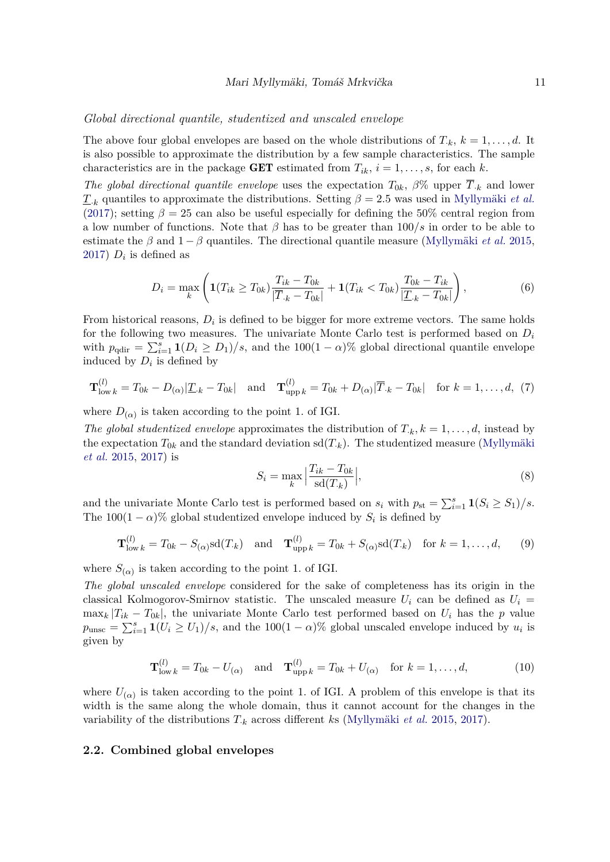#### *Global directional quantile, studentized and unscaled envelope*

The above four global envelopes are based on the whole distributions of  $T_k$ ,  $k = 1, \ldots, d$ . It is also possible to approximate the distribution by a few sample characteristics. The sample characteristics are in the package **GET** estimated from  $T_{ik}$ ,  $i = 1, \ldots, s$ , for each k.

*The global directional quantile envelope* uses the expectation  $T_{0k}$ ,  $\beta$ % upper  $\overline{T}_{k}$  and lower  $T_k$  quantiles to approximate the distributions. Setting  $\beta = 2.5$  was used in [Myllymäki](#page-34-0) *et al.* [\(2017\)](#page-34-0); setting  $\beta = 25$  can also be useful especially for defining the 50% central region from a low number of functions. Note that *β* has to be greater than 100*/s* in order to be able to estimate the  $\beta$  and  $1 - \beta$  quantiles. The directional quantile measure [\(Myllymäki](#page-34-11) *et al.* [2015,](#page-34-11) [2017\)](#page-34-0)  $D_i$  is defined as

$$
D_i = \max_k \left( \mathbf{1}(T_{ik} \ge T_{0k}) \frac{T_{ik} - T_{0k}}{|\overline{T}_{.k} - T_{0k}|} + \mathbf{1}(T_{ik} < T_{0k}) \frac{T_{0k} - T_{ik}}{|\underline{T}_{.k} - T_{0k}|} \right),\tag{6}
$$

From historical reasons,  $D_i$  is defined to be bigger for more extreme vectors. The same holds for the following two measures. The univariate Monte Carlo test is performed based on *D<sup>i</sup>* with  $p_{\text{qdir}} = \sum_{i=1}^{s} \mathbf{1}(D_i \geq D_1)/s$ , and the 100(1 – *α*)% global directional quantile envelope induced by  $D_i$  is defined by

$$
\mathbf{T}_{\text{low }k}^{(l)} = T_{0k} - D_{(\alpha)}|\underline{T}_{\cdot k} - T_{0k}|\quad \text{and}\quad \mathbf{T}_{\text{upp }k}^{(l)} = T_{0k} + D_{(\alpha)}|\overline{T}_{\cdot k} - T_{0k}|\quad \text{for } k = 1,\dots,d,\tag{7}
$$

where  $D_{(\alpha)}$  is taken according to the point 1. of IGI.

*The global studentized envelope* approximates the distribution of  $T_k$ ,  $k = 1, \ldots, d$ , instead by the expectation  $T_{0k}$  and the standard deviation  $sd(T_k)$ . The studentized measure [\(Myllymäki](#page-34-11) *[et al.](#page-34-11)* [2015,](#page-34-11) [2017\)](#page-34-0) is

$$
S_i = \max_k \left| \frac{T_{ik} - T_{0k}}{\text{sd}(T_{.k})} \right|,\tag{8}
$$

and the univariate Monte Carlo test is performed based on  $s_i$  with  $p_{st} = \sum_{i=1}^s \mathbf{1}(S_i \geq S_1)/s$ . The  $100(1 - \alpha)$ % global studentized envelope induced by  $S_i$  is defined by

$$
\mathbf{T}_{\text{low }k}^{(l)} = T_{0k} - S_{(\alpha)}\mathrm{sd}(T_{\cdot k}) \quad \text{and} \quad \mathbf{T}_{\text{upp }k}^{(l)} = T_{0k} + S_{(\alpha)}\mathrm{sd}(T_{\cdot k}) \quad \text{for } k = 1,\dots,d,\qquad(9)
$$

where  $S_{(\alpha)}$  is taken according to the point 1. of IGI.

*The global unscaled envelope* considered for the sake of completeness has its origin in the classical Kolmogorov-Smirnov statistic. The unscaled measure  $U_i$  can be defined as  $U_i$  =  $\max_k |T_{ik} - T_{0k}|$ , the univariate Monte Carlo test performed based on  $U_i$  has the *p* value  $p_{\text{unsc}} = \sum_{i=1}^{s} \mathbf{1}(U_i \ge U_1)/s$ , and the 100(1 – *α*)% global unscaled envelope induced by  $u_i$  is given by

$$
\mathbf{T}_{\text{low }k}^{(l)} = T_{0k} - U_{(\alpha)} \quad \text{and} \quad \mathbf{T}_{\text{upp }k}^{(l)} = T_{0k} + U_{(\alpha)} \quad \text{for } k = 1, ..., d,
$$
 (10)

where  $U_{(\alpha)}$  is taken according to the point 1. of IGI. A problem of this envelope is that its width is the same along the whole domain, thus it cannot account for the changes in the variability of the distributions *T*·*<sup>k</sup>* across different *k*s [\(Myllymäki](#page-34-11) *et al.* [2015,](#page-34-11) [2017\)](#page-34-0).

### <span id="page-10-0"></span>**2.2. Combined global envelopes**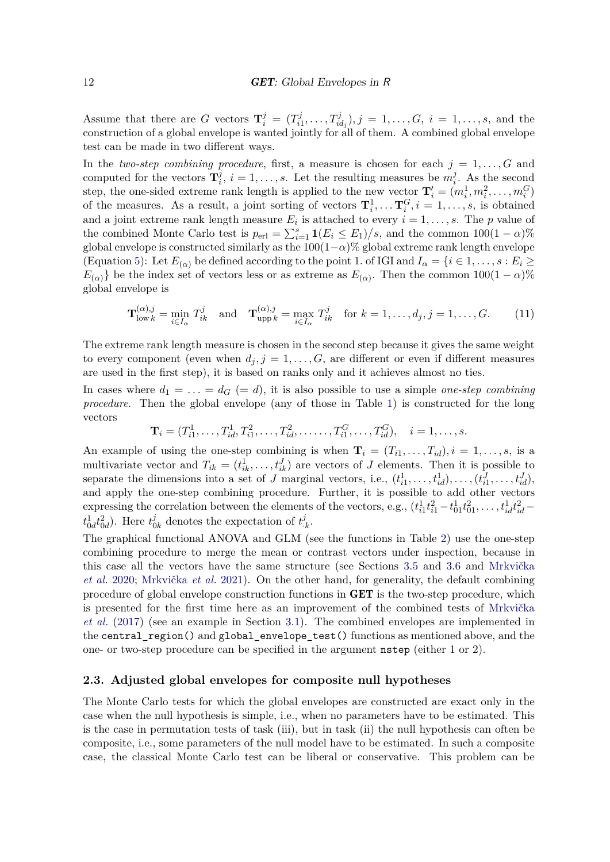Assume that there are *G* vectors  $\mathbf{T}_i^j = (T_i^j)$  $T_{i1}^j, \ldots, T_{id_j}^j$ ,  $j = 1, \ldots, G, i = 1, \ldots, s$ , and the construction of a global envelope is wanted jointly for all of them. A combined global envelope test can be made in two different ways.

In the *two-step combining procedure*, first, a measure is chosen for each  $j = 1, \ldots, G$  and computed for the vectors  $\mathbf{T}_i^j$  $\overline{a}$ <sub>*i*</sub>, *i* = 1, ..., *s*. Let the resulting measures be  $m_i^j$  $\frac{J}{i}$ . As the second step, the one-sided extreme rank length is applied to the new vector  $\mathbf{T}'_i = (m_i^1, m_i^2, \ldots, m_i^G)$ of the measures. As a result, a joint sorting of vectors  $\mathbf{T}_i^1, \ldots, \mathbf{T}_i^G, i = 1, \ldots, s$ , is obtained and a joint extreme rank length measure  $E_i$  is attached to every  $i = 1, \ldots, s$ . The *p* value of the combined Monte Carlo test is  $p_{\text{erl}} = \sum_{i=1}^{s} \mathbf{1}(E_i \le E_1)/s$ , and the common  $100(1-\alpha)\%$ global envelope is constructed similarly as the  $100(1-\alpha)\%$  global extreme rank length envelope (Equation [5\)](#page-8-1): Let  $E_{(\alpha)}$  be defined according to the point 1. of IGI and  $I_{\alpha} = \{i \in 1, \ldots, s : E_i \geq 0\}$  $E_{(\alpha)}$ } be the index set of vectors less or as extreme as  $E_{(\alpha)}$ . Then the common 100(1 – *α*)% global envelope is

$$
\mathbf{T}_{\text{low }k}^{(\alpha),j} = \min_{i \in I_{\alpha}} T_{ik}^j \quad \text{and} \quad \mathbf{T}_{\text{upp }k}^{(\alpha),j} = \max_{i \in I_{\alpha}} T_{ik}^j \quad \text{for } k = 1,\dots,d_j, j = 1,\dots,G. \tag{11}
$$

The extreme rank length measure is chosen in the second step because it gives the same weight to every component (even when  $d_j$ ,  $j = 1, \ldots, G$ , are different or even if different measures are used in the first step), it is based on ranks only and it achieves almost no ties.

In cases where  $d_1 = \ldots = d_G (= d)$ , it is also possible to use a simple *one-step combining procedure*. Then the global envelope (any of those in Table [1\)](#page-6-0) is constructed for the long vectors

$$
\mathbf{T}_i = (T_{i1}^1, \dots, T_{id}^1, T_{i1}^2, \dots, T_{id}^2, \dots, T_{i1}^G, \dots, T_{id}^G), \quad i = 1, \dots, s.
$$

An example of using the one-step combining is when  $\mathbf{T}_i = (T_{i1}, \ldots, T_{id}), i = 1, \ldots, s$ , is a multivariate vector and  $T_{ik} = (t_{ik}^1, \ldots, t_{ik}^J)$  are vectors of *J* elements. Then it is possible to separate the dimensions into a set of *J* marginal vectors, i.e.,  $(t_{i1}^1, \ldots, t_{id}^1), \ldots, (t_{i1}^J, \ldots, t_{id}^J)$ and apply the one-step combining procedure. Further, it is possible to add other vectors expressing the correlation between the elements of the vectors, e.g.,  $(t_{i1}^1 t_{i1}^2 - t_{01}^1 t_{01}^2, \ldots, t_{id}^1 t_{id}^2$  $t_{0d}^1 t_{0d}^2$ ). Here  $t_0^j$  $\frac{j}{0k}$  denotes the expectation of  $t^j_{\cdot,k}$ .

The graphical functional ANOVA and GLM (see the functions in Table [2\)](#page-7-0) use the one-step combining procedure to merge the mean or contrast vectors under inspection, because in this case all the vectors have the same structure (see Sections [3.5](#page-20-0) and [3.6](#page-23-0) and [Mrkvička](#page-34-5) *[et al.](#page-34-5)* [2020;](#page-34-5) [Mrkvička](#page-34-6) *et al.* [2021\)](#page-34-6). On the other hand, for generality, the default combining procedure of global envelope construction functions in GET is the two-step procedure, which is presented for the first time here as an improvement of the combined tests of [Mrkvička](#page-34-1) *[et al.](#page-34-1)* [\(2017\)](#page-34-1) (see an example in Section [3.1\)](#page-13-1). The combined envelopes are implemented in the central region() and global envelope test() functions as mentioned above, and the one- or two-step procedure can be specified in the argument nstep (either 1 or 2).

### <span id="page-11-0"></span>**2.3. Adjusted global envelopes for composite null hypotheses**

The Monte Carlo tests for which the global envelopes are constructed are exact only in the case when the null hypothesis is simple, i.e., when no parameters have to be estimated. This is the case in permutation tests of task (iii), but in task (ii) the null hypothesis can often be composite, i.e., some parameters of the null model have to be estimated. In such a composite case, the classical Monte Carlo test can be liberal or conservative. This problem can be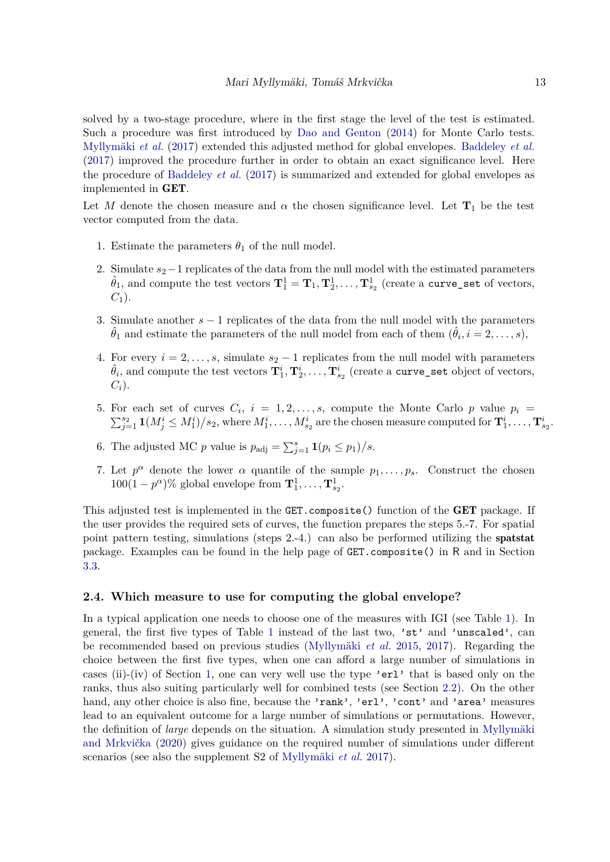solved by a two-stage procedure, where in the first stage the level of the test is estimated. Such a procedure was first introduced by [Dao and Genton](#page-31-6) [\(2014\)](#page-31-6) for Monte Carlo tests. [Myllymäki](#page-34-0) *et al.* [\(2017\)](#page-34-0) extended this adjusted method for global envelopes. [Baddeley](#page-30-3) *et al.* [\(2017\)](#page-30-3) improved the procedure further in order to obtain an exact significance level. Here the procedure of [Baddeley](#page-30-3) *et al.* [\(2017\)](#page-30-3) is summarized and extended for global envelopes as implemented in GET.

Let *M* denote the chosen measure and  $\alpha$  the chosen significance level. Let  $\mathbf{T}_1$  be the test vector computed from the data.

- 1. Estimate the parameters  $\theta_1$  of the null model.
- 2. Simulate  $s_2-1$  replicates of the data from the null model with the estimated parameters  $\hat{\theta}_1$ , and compute the test vectors  $\mathbf{T}^1_1 = \mathbf{T}_1, \mathbf{T}^1_2, \ldots, \mathbf{T}^1_{s_2}$  (create a curve\_set of vectors,  $C_1$ ).
- 3. Simulate another *s* − 1 replicates of the data from the null model with the parameters  $\hat{\theta}_1$  and estimate the parameters of the null model from each of them  $(\hat{\theta}_i, i = 2, \ldots, s)$ ,
- 4. For every  $i = 2, \ldots, s$ , simulate  $s_2 1$  replicates from the null model with parameters  $\hat{\theta}_i$ , and compute the test vectors  $\mathbf{T}_1^i, \mathbf{T}_2^i, \ldots, \mathbf{T}_{s_2}^i$  (create a curve\_set object of vectors, *Ci*).
- 5. For each set of curves  $C_i$ ,  $i = 1, 2, \ldots, s$ , compute the Monte Carlo  $p$  value  $p_i =$  $\sum_{j=1}^{s_2} 1(M_j^i \leq M_1^i)/s_2$ , where  $M_1^i, \ldots, M_{s_2}^i$  are the chosen measure computed for  $\mathbf{T}_1^i, \ldots, \mathbf{T}_{s_2}^i$ .
- 6. The adjusted MC *p* value is  $p_{\text{adj}} = \sum_{j=1}^{s} \mathbf{1}(p_i \leq p_1)/s$ .
- 7. Let  $p^{\alpha}$  denote the lower  $\alpha$  quantile of the sample  $p_1, \ldots, p_s$ . Construct the chosen  $100(1-p^{\alpha})\%$  global envelope from  $\mathbf{T}_1^1, \ldots, \mathbf{T}_{s_2}^1$ .

This adjusted test is implemented in the GET.composite () function of the GET package. If the user provides the required sets of curves, the function prepares the steps 5.-7. For spatial point pattern testing, simulations (steps 2.-4.) can also be performed utilizing the spatstat package. Examples can be found in the help page of GET.composite() in R and in Section [3.3.](#page-18-0)

### <span id="page-12-0"></span>**2.4. Which measure to use for computing the global envelope?**

In a typical application one needs to choose one of the measures with IGI (see Table [1\)](#page-6-0). In general, the first five types of Table [1](#page-6-0) instead of the last two, 'st' and 'unscaled', can be recommended based on previous studies [\(Myllymäki](#page-34-11) *et al.* [2015,](#page-34-11) [2017\)](#page-34-0). Regarding the choice between the first five types, when one can afford a large number of simulations in cases (ii)-(iv) of Section [1,](#page-0-0) one can very well use the type 'erl' that is based only on the ranks, thus also suiting particularly well for combined tests (see Section [2.2\)](#page-10-0). On the other hand, any other choice is also fine, because the 'rank', 'erl', 'cont' and 'area' measures lead to an equivalent outcome for a large number of simulations or permutations. However, the definition of *large* depends on the situation. A simulation study presented in [Myllymäki](#page-34-12) [and Mrkvička](#page-34-12) [\(2020\)](#page-34-12) gives guidance on the required number of simulations under different scenarios (see also the supplement S2 of [Myllymäki](#page-34-0) *et al.* [2017\)](#page-34-0).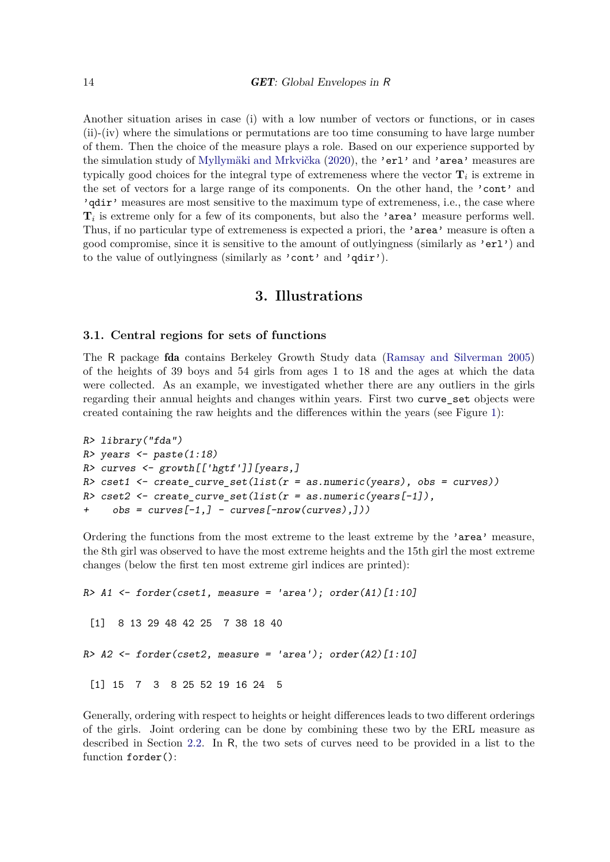Another situation arises in case (i) with a low number of vectors or functions, or in cases (ii)-(iv) where the simulations or permutations are too time consuming to have large number of them. Then the choice of the measure plays a role. Based on our experience supported by the simulation study of [Myllymäki and Mrkvička](#page-34-12) [\(2020\)](#page-34-12), the 'erl' and 'area' measures are typically good choices for the integral type of extremeness where the vector  $\mathbf{T}_i$  is extreme in the set of vectors for a large range of its components. On the other hand, the 'cont' and 'qdir' measures are most sensitive to the maximum type of extremeness, i.e., the case where  $\mathbf{T}_i$  is extreme only for a few of its components, but also the 'area' measure performs well. Thus, if no particular type of extremeness is expected a priori, the 'area' measure is often a good compromise, since it is sensitive to the amount of outlyingness (similarly as 'erl') and to the value of outlyingness (similarly as 'cont' and 'qdir').

### **3. Illustrations**

### <span id="page-13-1"></span><span id="page-13-0"></span>**3.1. Central regions for sets of functions**

The R package fda contains Berkeley Growth Study data [\(Ramsay and Silverman 2005\)](#page-35-11) of the heights of 39 boys and 54 girls from ages 1 to 18 and the ages at which the data were collected. As an example, we investigated whether there are any outliers in the girls regarding their annual heights and changes within years. First two curve\_set objects were created containing the raw heights and the differences within the years (see Figure [1\)](#page-14-0):

```
R> library("fda")
R> years <- paste(1:18)R> curves \leq growth [['hgtf']][years,]
R> cset1 <- create_curve_set(list(r = as.numeric(years), obs = curves))
R> cset2 <- create_curve_set(list(r = as.numeric(years[-1]),
     obs = curves[-1,] - curves[-nrow(curves),]])
```
Ordering the functions from the most extreme to the least extreme by the 'area' measure, the 8th girl was observed to have the most extreme heights and the 15th girl the most extreme changes (below the first ten most extreme girl indices are printed):

```
R > A1 <- forder(cset1, measure = 'area'); order(A1)[1:10]
 [1] 8 13 29 48 42 25 7 38 18 40
R > A2 \leftarrow forder(cset2, measure = 'area'); order(A2)[1:10]
 [1] 15 7 3 8 25 52 19 16 24 5
```
Generally, ordering with respect to heights or height differences leads to two different orderings of the girls. Joint ordering can be done by combining these two by the ERL measure as described in Section [2.2.](#page-10-0) In R, the two sets of curves need to be provided in a list to the function forder():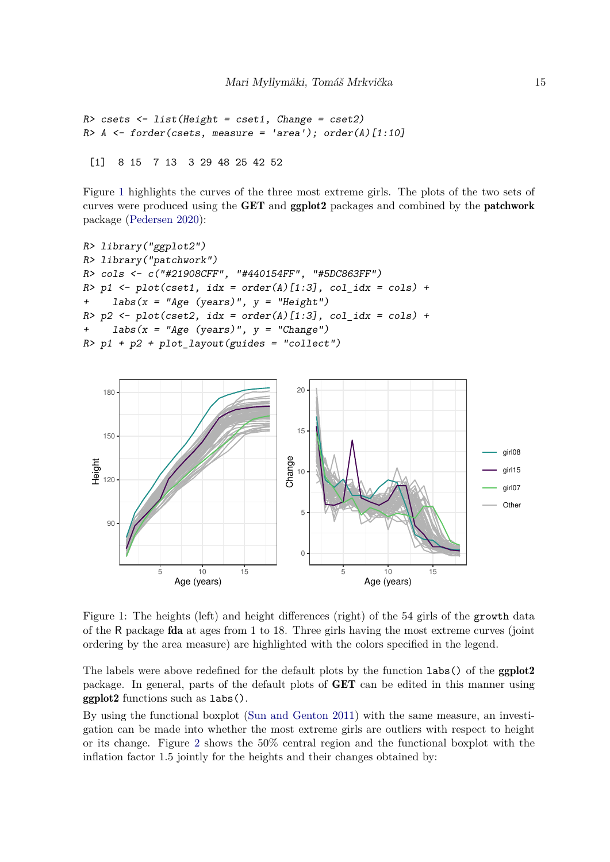```
R> csets <- list(Height = cset1, Change = cset2)
R > A <- forder(csets, measure = 'area'); order(A)[1:10]
```
[1] 8 15 7 13 3 29 48 25 42 52

Figure [1](#page-14-0) highlights the curves of the three most extreme girls. The plots of the two sets of curves were produced using the GET and ggplot2 packages and combined by the patchwork package [\(Pedersen 2020\)](#page-35-12):

```
R> library("ggplot2")
R> library("patchwork")
R> cols <- c("#21908CFF", "#440154FF", "#5DC863FF")
R> p1 <- plot(cset1, idx = order(A)[1:3], col_idx = cols) +
+ labs(x = "Age (years)", y = "Height")
R> p2 <- plot(cset2, idx = order(A)[1:3], col_idx = cols) +
+ labs(x = "Age (years)", y = "Change")
R> p1 + p2 + plot layout(guides = "collect")
```


<span id="page-14-0"></span>Figure 1: The heights (left) and height differences (right) of the 54 girls of the growth data of the R package fda at ages from 1 to 18. Three girls having the most extreme curves (joint ordering by the area measure) are highlighted with the colors specified in the legend.

The labels were above redefined for the default plots by the function labs() of the ggplot2 package. In general, parts of the default plots of GET can be edited in this manner using ggplot2 functions such as labs().

By using the functional boxplot [\(Sun and Genton 2011\)](#page-36-8) with the same measure, an investigation can be made into whether the most extreme girls are outliers with respect to height or its change. Figure [2](#page-15-1) shows the 50% central region and the functional boxplot with the inflation factor 1.5 jointly for the heights and their changes obtained by: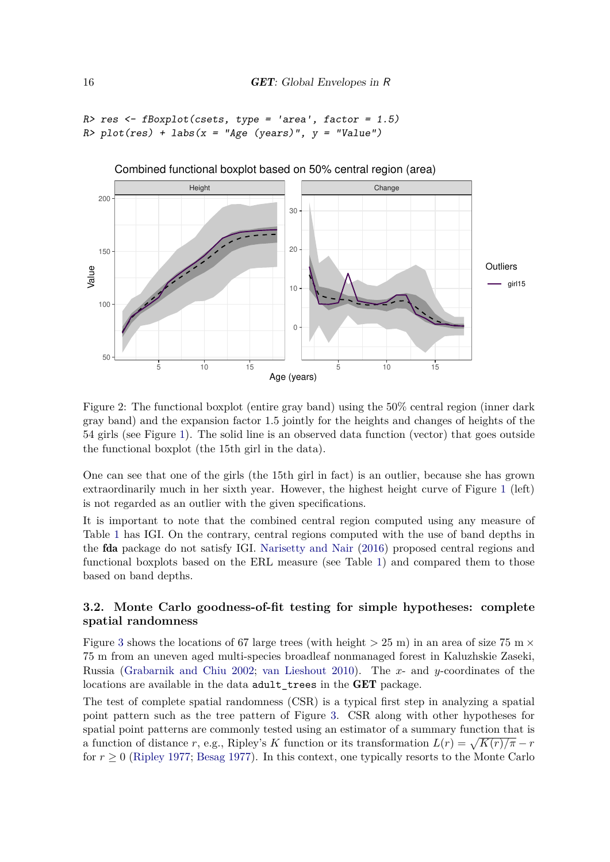```
R> res \leftarrow fBoxplot(csets, type = 'area', factor = 1.5)
R> plot(res) + labs(x = "Age (years)", y = "Value")
```


<span id="page-15-1"></span>Figure 2: The functional boxplot (entire gray band) using the 50% central region (inner dark gray band) and the expansion factor 1.5 jointly for the heights and changes of heights of the 54 girls (see Figure [1\)](#page-14-0). The solid line is an observed data function (vector) that goes outside the functional boxplot (the 15th girl in the data).

One can see that one of the girls (the 15th girl in fact) is an outlier, because she has grown extraordinarily much in her sixth year. However, the highest height curve of Figure [1](#page-14-0) (left) is not regarded as an outlier with the given specifications.

It is important to note that the combined central region computed using any measure of Table [1](#page-6-0) has IGI. On the contrary, central regions computed with the use of band depths in the fda package do not satisfy IGI. [Narisetty and Nair](#page-35-1) [\(2016\)](#page-35-1) proposed central regions and functional boxplots based on the ERL measure (see Table [1\)](#page-6-0) and compared them to those based on band depths.

### <span id="page-15-0"></span>**3.2. Monte Carlo goodness-of-fit testing for simple hypotheses: complete spatial randomness**

Figure [3](#page-16-0) shows the locations of 67 large trees (with height  $>$  25 m) in an area of size 75 m  $\times$ 75 m from an uneven aged multi-species broadleaf nonmanaged forest in Kaluzhskie Zaseki, Russia [\(Grabarnik and Chiu 2002;](#page-32-9) [van Lieshout 2010\)](#page-36-9). The *x*- and *y*-coordinates of the locations are available in the data adult\_trees in the GET package.

The test of complete spatial randomness (CSR) is a typical first step in analyzing a spatial point pattern such as the tree pattern of Figure [3.](#page-16-0) CSR along with other hypotheses for spatial point patterns are commonly tested using an estimator of a summary function that is a function of distance *r*, e.g., Ripley's *K* function or its transformation  $L(r) = \sqrt{K(r)/\pi} - r$ for  $r \geq 0$  [\(Ripley 1977;](#page-35-13) [Besag 1977\)](#page-30-5). In this context, one typically resorts to the Monte Carlo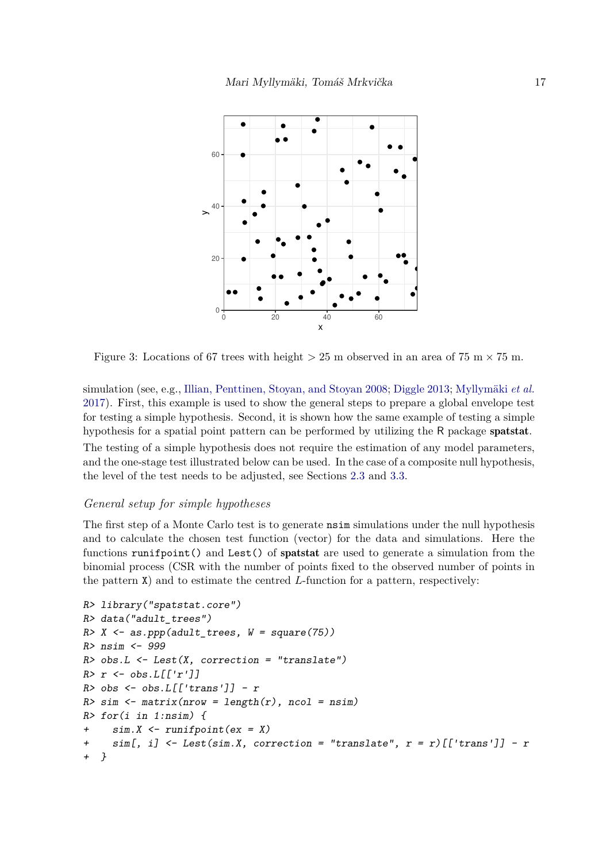

<span id="page-16-0"></span>Figure 3: Locations of 67 trees with height  $>$  25 m observed in an area of 75 m  $\times$  75 m.

simulation (see, e.g., [Illian, Penttinen, Stoyan, and Stoyan 2008;](#page-33-12) [Diggle 2013;](#page-32-10) [Myllymäki](#page-34-0) *et al.* [2017\)](#page-34-0). First, this example is used to show the general steps to prepare a global envelope test for testing a simple hypothesis. Second, it is shown how the same example of testing a simple hypothesis for a spatial point pattern can be performed by utilizing the R package spatstat. The testing of a simple hypothesis does not require the estimation of any model parameters, and the one-stage test illustrated below can be used. In the case of a composite null hypothesis, the level of the test needs to be adjusted, see Sections [2.3](#page-11-0) and [3.3.](#page-18-0)

### *General setup for simple hypotheses*

The first step of a Monte Carlo test is to generate nsim simulations under the null hypothesis and to calculate the chosen test function (vector) for the data and simulations. Here the functions runifpoint() and Lest() of spatstat are used to generate a simulation from the binomial process (CSR with the number of points fixed to the observed number of points in the pattern X) and to estimate the centred *L*-function for a pattern, respectively:

```
R> library("spatstat.core")
R> data("adult_trees")
R > X \leftarrow as.ppp(adult\_trees, W = square(75))R> nsim <- 999
R> obs.L <- Lest(X, correction = "translate")
R> r <- obs. L[[r']]R> obs <- obs.L[['trans']] - r
R> sim <- matrix(nrow = length(r), ncol = nsim)
R> for(i in 1:nsim) {
+ sim.X <- runifpoint(ex = X)
     sim[, i] <- Lest(sim.X, correction = "translate", r = r)[['trans']] - r
+ }
```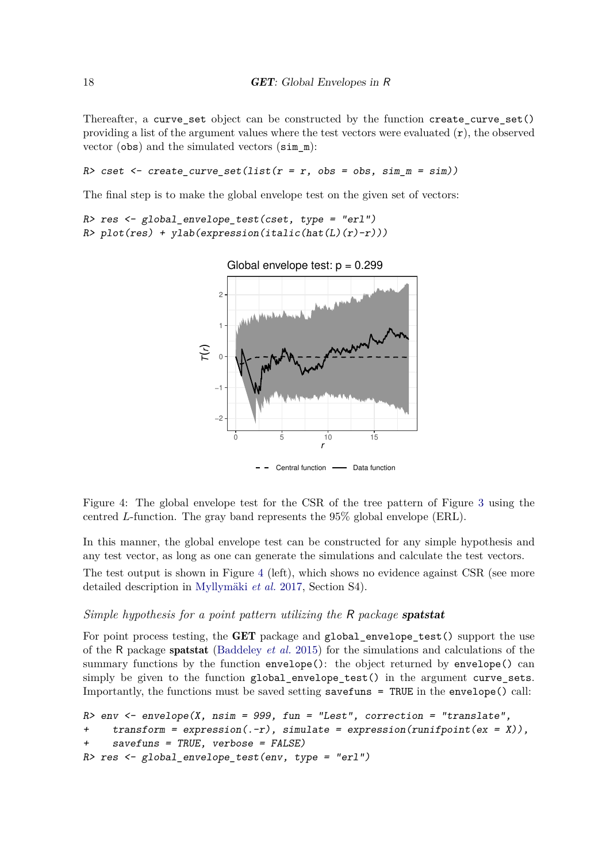Thereafter, a curve\_set object can be constructed by the function create\_curve\_set() providing a list of the argument values where the test vectors were evaluated  $(r)$ , the observed vector (obs) and the simulated vectors (sim\_m):

R> cset  $\leq$  create\_curve\_set(list( $r = r$ , obs = obs, sim\_m = sim))

The final step is to make the global envelope test on the given set of vectors:

```
R> res \leq global_envelope_test(cset, type = "erl")
R> plot(res) + ylab(expression(italic(hat(L)(r)-r)))
```


 $-$  - Central function  $-$  Data function

<span id="page-17-0"></span>Figure 4: The global envelope test for the CSR of the tree pattern of Figure [3](#page-16-0) using the centred *L*-function. The gray band represents the 95% global envelope (ERL).

In this manner, the global envelope test can be constructed for any simple hypothesis and any test vector, as long as one can generate the simulations and calculate the test vectors.

The test output is shown in Figure [4](#page-17-0) (left), which shows no evidence against CSR (see more detailed description in [Myllymäki](#page-34-0) *et al.* [2017,](#page-34-0) Section S4).

### *Simple hypothesis for a point pattern utilizing the* R *package* spatstat

For point process testing, the **GET** package and global envelope test() support the use of the R package spatstat [\(Baddeley](#page-30-2) *et al.* [2015\)](#page-30-2) for the simulations and calculations of the summary functions by the function envelope(): the object returned by envelope() can simply be given to the function global\_envelope\_test() in the argument curve\_sets. Importantly, the functions must be saved setting savefuns = TRUE in the envelope() call:

```
R > env \leq envelope(X, nsim = 999, fun = "Lest", correction = "translate",
+ transform = expression(-r), simulate = expression(runifpoint(ex = X)),
    savefuns = TRUE, verbose = FALSE)R res \leq global envelope test(env, type = "erl")
```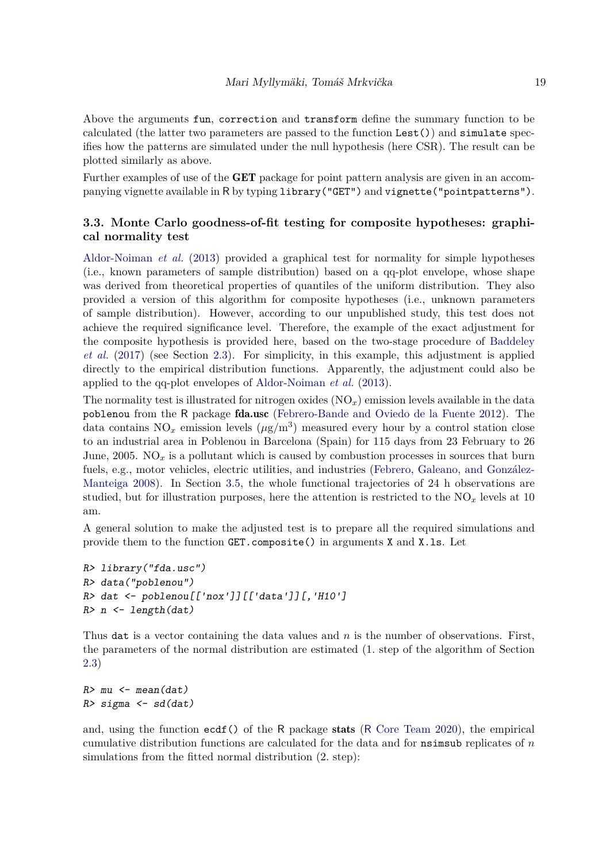Above the arguments fun, correction and transform define the summary function to be calculated (the latter two parameters are passed to the function Lest()) and simulate specifies how the patterns are simulated under the null hypothesis (here CSR). The result can be plotted similarly as above.

Further examples of use of the GET package for point pattern analysis are given in an accompanying vignette available in R by typing library("GET") and vignette("pointpatterns").

### <span id="page-18-0"></span>**3.3. Monte Carlo goodness-of-fit testing for composite hypotheses: graphical normality test**

[Aldor-Noiman](#page-30-4) *et al.* [\(2013\)](#page-30-4) provided a graphical test for normality for simple hypotheses (i.e., known parameters of sample distribution) based on a qq-plot envelope, whose shape was derived from theoretical properties of quantiles of the uniform distribution. They also provided a version of this algorithm for composite hypotheses (i.e., unknown parameters of sample distribution). However, according to our unpublished study, this test does not achieve the required significance level. Therefore, the example of the exact adjustment for the composite hypothesis is provided here, based on the two-stage procedure of [Baddeley](#page-30-3) *[et al.](#page-30-3)* [\(2017\)](#page-30-3) (see Section [2.3\)](#page-11-0). For simplicity, in this example, this adjustment is applied directly to the empirical distribution functions. Apparently, the adjustment could also be applied to the qq-plot envelopes of [Aldor-Noiman](#page-30-4) *et al.* [\(2013\)](#page-30-4).

The normality test is illustrated for nitrogen oxides  $(NO<sub>x</sub>)$  emission levels available in the data poblenou from the R package fda.usc [\(Febrero-Bande and Oviedo de la Fuente 2012\)](#page-32-7). The data contains  $NO_x$  emission levels  $(\mu g/m^3)$  measured every hour by a control station close to an industrial area in Poblenou in Barcelona (Spain) for 115 days from 23 February to 26 June,  $2005$ . NO<sub>x</sub> is a pollutant which is caused by combustion processes in sources that burn fuels, e.g., motor vehicles, electric utilities, and industries [\(Febrero, Galeano, and González-](#page-32-11)[Manteiga 2008\)](#page-32-11). In Section [3.5,](#page-20-0) the whole functional trajectories of 24 h observations are studied, but for illustration purposes, here the attention is restricted to the  $NO<sub>x</sub>$  levels at 10 am.

A general solution to make the adjusted test is to prepare all the required simulations and provide them to the function GET.composite() in arguments X and X.ls. Let

```
R> library("fda.usc")
R> data("poblenou")
R> dat <- poblenou[['nox']][['data']][,'H10']
R> n <- length(dat)
```
Thus dat is a vector containing the data values and *n* is the number of observations. First, the parameters of the normal distribution are estimated (1. step of the algorithm of Section [2.3\)](#page-11-0)

```
R> mu <- mean(dat)
R> sigma \leq sd(dat)
```
and, using the function ecdf() of the R package stats (R [Core Team 2020\)](#page-35-7), the empirical cumulative distribution functions are calculated for the data and for nsimsub replicates of *n* simulations from the fitted normal distribution (2. step):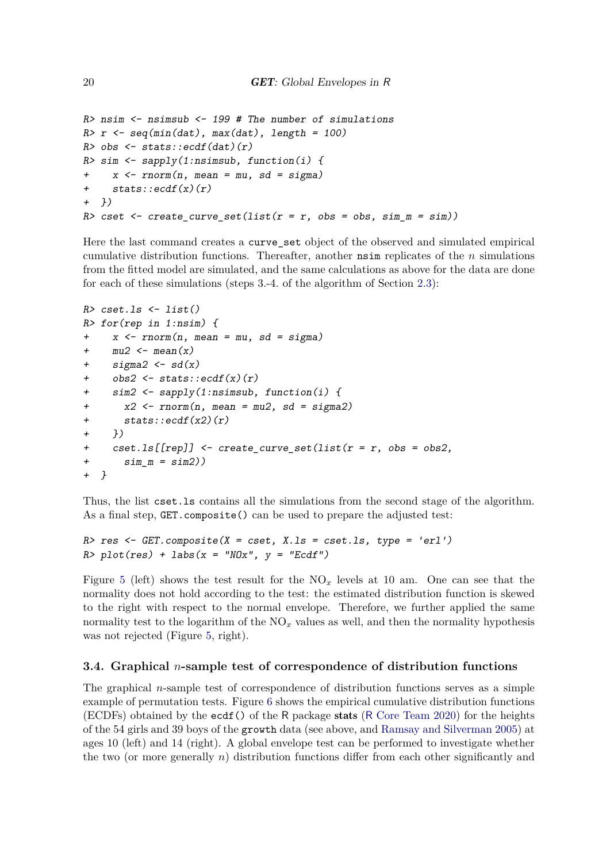```
R> nsim \leq nsimsub \leq 199 # The number of simulations
R> r <- seq(min(dat), max(dat), length = 100)
R> obs \leq stats::ecdf(dat)(r)
R> sim \leq sapply(1:nsimsub, function(i) {
+ x \le rnorm(n, mean = mu, sd = sigma)
+ stats::ecdf(x)(r)+ })
R> cset <- create_curve_set(list(r = r, obs = obs, sim_m = sim))
```
Here the last command creates a curve\_set object of the observed and simulated empirical cumulative distribution functions. Thereafter, another nsim replicates of the *n* simulations from the fitted model are simulated, and the same calculations as above for the data are done for each of these simulations (steps 3.-4. of the algorithm of Section [2.3\)](#page-11-0):

```
R> cset.ls <- list()
R> for(rep in 1:nsim) {
+ x \le - rnorm(n, mean = mu, sd = sigma)+ mu2 \le -mean(x)sigma2 \leftarrow sd(x)obs2 \leftarrow stats::ecdf(x)(r)\text{sim2} <- sapply(1:nsimsub, function(i) {
+ x2 \leq -rnorm(n, mean = mu2, sd = sigma2)+ stats::ecdf(x2)(r)+ })
+ \csc{1} s[[rep]] \leq \csc{1} x + \csc{1} z + \csc{1} z + \csc{1} z + \csc{1} z + \csc{1} z + \csc{1} z + \csc{1} z + \csc{1} z + \csc{1} z + \csc{1} z + \csc{1} z + \csc{1} z + \csc{1} z + \csc{1} z + \csc{1} z + \csc{1} z + \csc{1} z + \csc{1} z + \csc{1} z + \csc{1} z + \csc{1} z + \csc{1} z + \csc{1} z + \csc{1} z + \csc{1+ sim m = sim2)+ }
```
Thus, the list cset.ls contains all the simulations from the second stage of the algorithm. As a final step, GET.composite() can be used to prepare the adjusted test:

```
R> res <- GET.composite(X = cset, X.ls = cset.ls, type = 'erl')
R> plot(res) + labs(x = "N0x", y = "Ecdf")
```
Figure [5](#page-20-1) (left) shows the test result for the  $NO<sub>x</sub>$  levels at 10 am. One can see that the normality does not hold according to the test: the estimated distribution function is skewed to the right with respect to the normal envelope. Therefore, we further applied the same normality test to the logarithm of the  $NO<sub>x</sub>$  values as well, and then the normality hypothesis was not rejected (Figure [5,](#page-20-1) right).

### <span id="page-19-0"></span>**3.4. Graphical** *n***-sample test of correspondence of distribution functions**

The graphical *n*-sample test of correspondence of distribution functions serves as a simple example of permutation tests. Figure [6](#page-21-0) shows the empirical cumulative distribution functions (ECDFs) obtained by the ecdf() of the R package stats (R [Core Team 2020\)](#page-35-7) for the heights of the 54 girls and 39 boys of the growth data (see above, and [Ramsay and Silverman 2005\)](#page-35-11) at ages 10 (left) and 14 (right). A global envelope test can be performed to investigate whether the two (or more generally  $n$ ) distribution functions differ from each other significantly and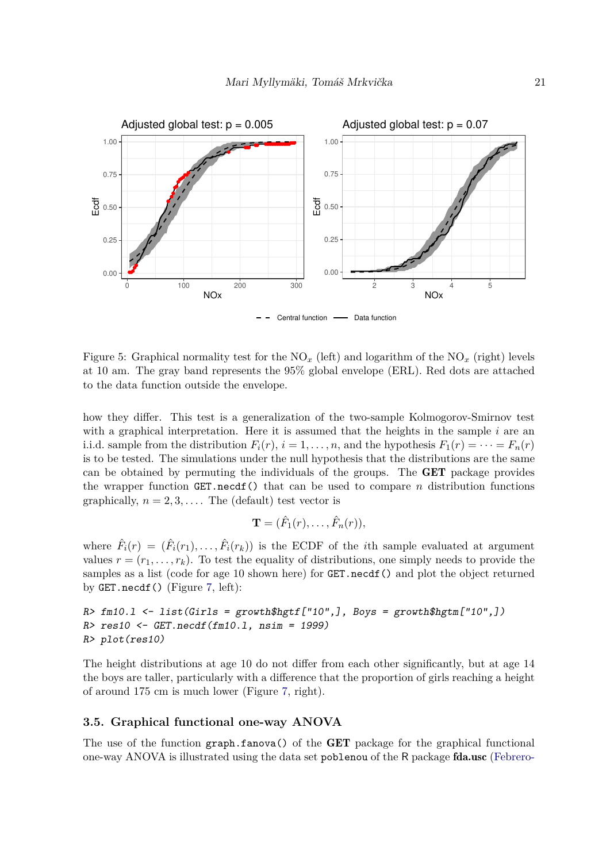

<span id="page-20-1"></span>Figure 5: Graphical normality test for the  $NO_x$  (left) and logarithm of the  $NO_x$  (right) levels at 10 am. The gray band represents the 95% global envelope (ERL). Red dots are attached to the data function outside the envelope.

how they differ. This test is a generalization of the two-sample Kolmogorov-Smirnov test with a graphical interpretation. Here it is assumed that the heights in the sample *i* are an i.i.d. sample from the distribution  $F_i(r)$ ,  $i = 1, \ldots, n$ , and the hypothesis  $F_1(r) = \cdots = F_n(r)$ is to be tested. The simulations under the null hypothesis that the distributions are the same can be obtained by permuting the individuals of the groups. The GET package provides the wrapper function GET.necdf() that can be used to compare *n* distribution functions graphically,  $n = 2, 3, \ldots$ . The (default) test vector is

$$
\mathbf{T}=(\hat{F}_1(r),\ldots,\hat{F}_n(r)),
$$

where  $\hat{F}_i(r) = (\hat{F}_i(r_1), \dots, \hat{F}_i(r_k))$  is the ECDF of the *i*th sample evaluated at argument values  $r = (r_1, \ldots, r_k)$ . To test the equality of distributions, one simply needs to provide the samples as a list (code for age 10 shown here) for **GET**.necdf() and plot the object returned by GET.necdf() (Figure [7,](#page-21-1) left):

R> fm10.l <- list(Girls = growth\$hgtf["10",], Boys = growth\$hgtm["10",]) R> res10 <- GET.necdf(fm10.l, nsim = 1999) R> plot(res10)

The height distributions at age 10 do not differ from each other significantly, but at age 14 the boys are taller, particularly with a difference that the proportion of girls reaching a height of around 175 cm is much lower (Figure [7,](#page-21-1) right).

### <span id="page-20-0"></span>**3.5. Graphical functional one-way ANOVA**

The use of the function graph.fanova() of the GET package for the graphical functional one-way ANOVA is illustrated using the data set poblenou of the R package fda.usc [\(Febrero-](#page-32-7)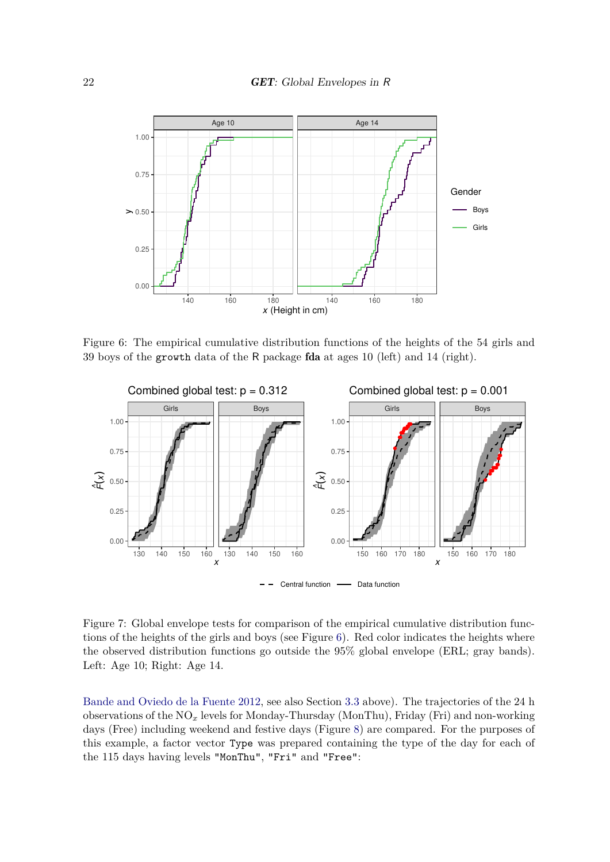

<span id="page-21-0"></span>Figure 6: The empirical cumulative distribution functions of the heights of the 54 girls and 39 boys of the growth data of the R package fda at ages 10 (left) and 14 (right).



<span id="page-21-1"></span>Figure 7: Global envelope tests for comparison of the empirical cumulative distribution functions of the heights of the girls and boys (see Figure [6\)](#page-21-0). Red color indicates the heights where the observed distribution functions go outside the 95% global envelope (ERL; gray bands). Left: Age 10; Right: Age 14.

[Bande and Oviedo de la Fuente 2012,](#page-32-7) see also Section [3.3](#page-18-0) above). The trajectories of the 24 h observations of the NO*<sup>x</sup>* levels for Monday-Thursday (MonThu), Friday (Fri) and non-working days (Free) including weekend and festive days (Figure [8\)](#page-22-0) are compared. For the purposes of this example, a factor vector Type was prepared containing the type of the day for each of the 115 days having levels "MonThu", "Fri" and "Free":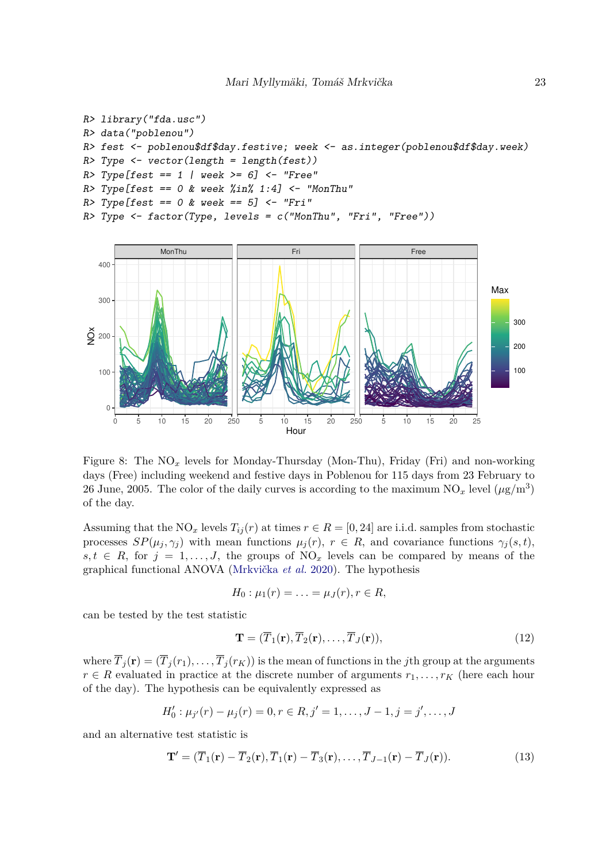```
R> library("fda.usc")
R> data("poblenou")
R> fest <- poblenou$df$day.festive; week <- as.integer(poblenou$df$day.week)
R> Type <- vector(length = length(fest))
R > Type [fest == 1 | week >= 6] <= "Free"R> Type[fest == 0 & week %in% 1:4] <- "MonThu"
R > Type [fest == 0 & week == 5] < - "Fri"R> Type <- factor(Type, levels = c("MonThu", "Fri", "Free")))
            MonThu Fri Free
  400
```


<span id="page-22-0"></span>Figure 8: The NO*<sup>x</sup>* levels for Monday-Thursday (Mon-Thu), Friday (Fri) and non-working days (Free) including weekend and festive days in Poblenou for 115 days from 23 February to 26 June, 2005. The color of the daily curves is according to the maximum  $NO_x$  level  $(\mu g/m^3)$ of the day.

Assuming that the NO<sub>*x*</sub> levels  $T_{ij}(r)$  at times  $r \in R = [0, 24]$  are i.i.d. samples from stochastic processes  $SP(\mu_j, \gamma_j)$  with mean functions  $\mu_j(r)$ ,  $r \in R$ , and covariance functions  $\gamma_j(s, t)$ ,  $s, t \in R$ , for  $j = 1, \ldots, J$ , the groups of NO<sub>x</sub> levels can be compared by means of the graphical functional ANOVA [\(Mrkvička](#page-34-5) *et al.* [2020\)](#page-34-5). The hypothesis

<span id="page-22-2"></span>
$$
H_0: \mu_1(r)=\ldots=\mu_J(r), r\in R,
$$

can be tested by the test statistic

$$
\mathbf{T} = (\overline{T}_1(\mathbf{r}), \overline{T}_2(\mathbf{r}), \dots, \overline{T}_J(\mathbf{r})),
$$
\n(12)

where  $\overline{T}_j(\mathbf{r}) = (\overline{T}_j(r_1), \ldots, \overline{T}_j(r_K))$  is the mean of functions in the *j*th group at the arguments  $r \in R$  evaluated in practice at the discrete number of arguments  $r_1, \ldots, r_K$  (here each hour of the day). The hypothesis can be equivalently expressed as

$$
H'_0: \mu_{j'}(r) - \mu_j(r) = 0, r \in R, j' = 1, \dots, J-1, j = j', \dots, J
$$

and an alternative test statistic is

<span id="page-22-1"></span>
$$
\mathbf{T}' = (\overline{T}_1(\mathbf{r}) - \overline{T}_2(\mathbf{r}), \overline{T}_1(\mathbf{r}) - \overline{T}_3(\mathbf{r}), \dots, \overline{T}_{J-1}(\mathbf{r}) - \overline{T}_J(\mathbf{r})).
$$
\n(13)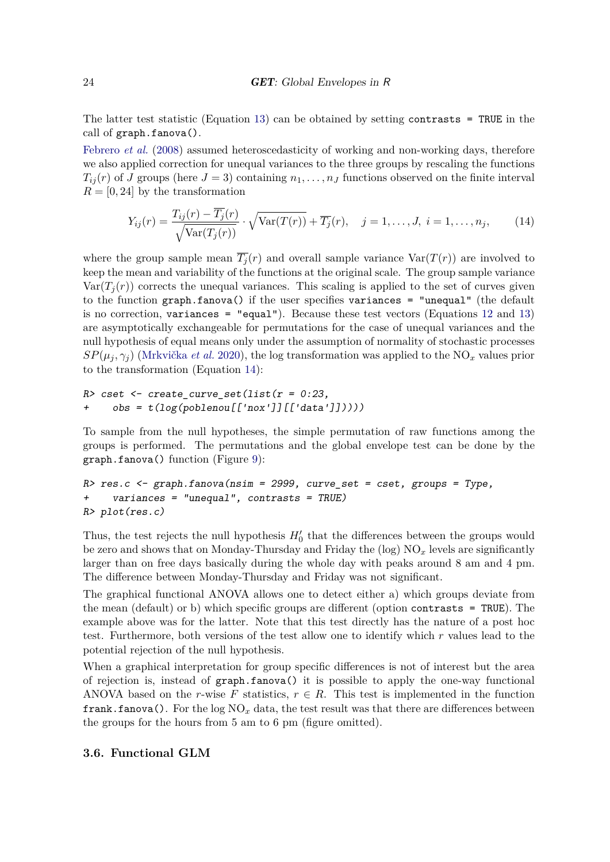The latter test statistic (Equation [13\)](#page-22-1) can be obtained by setting contrasts = TRUE in the call of graph.fanova().

[Febrero](#page-32-11) *et al.* [\(2008\)](#page-32-11) assumed heteroscedasticity of working and non-working days, therefore we also applied correction for unequal variances to the three groups by rescaling the functions  $T_{ij}(r)$  of *J* groups (here  $J = 3$ ) containing  $n_1, \ldots, n_J$  functions observed on the finite interval  $R = [0, 24]$  by the transformation

<span id="page-23-1"></span>
$$
Y_{ij}(r) = \frac{T_{ij}(r) - \overline{T_j}(r)}{\sqrt{\text{Var}(T_j(r))}} \cdot \sqrt{\text{Var}(T(r))} + \overline{T_j}(r), \quad j = 1, \dots, J, \ i = 1, \dots, n_j,
$$
 (14)

where the group sample mean  $\overline{T}_i(r)$  and overall sample variance  $\text{Var}(T(r))$  are involved to keep the mean and variability of the functions at the original scale. The group sample variance  $Var(T_i(r))$  corrects the unequal variances. This scaling is applied to the set of curves given to the function graph.fanova() if the user specifies variances = "unequal" (the default is no correction, variances = "equal"). Because these test vectors (Equations [12](#page-22-2) and [13\)](#page-22-1) are asymptotically exchangeable for permutations for the case of unequal variances and the null hypothesis of equal means only under the assumption of normality of stochastic processes  $SP(\mu_i, \gamma_i)$  [\(Mrkvička](#page-34-5) *et al.* [2020\)](#page-34-5), the log transformation was applied to the NO<sub>*x*</sub> values prior to the transformation (Equation [14\)](#page-23-1):

```
R> cset \leq create curve set(list(r = 0:23,
+ obs = t(log(poblenou[['nox']][['data']]))))
```
To sample from the null hypotheses, the simple permutation of raw functions among the groups is performed. The permutations and the global envelope test can be done by the graph.fanova() function (Figure [9\)](#page-24-0):

```
R> res.c <- graph.fanova(nsim = 2999, curve_set = cset, groups = Type,
    variances = "unequal", contrasts = TRUE)R> plot(res.c)
```
Thus, the test rejects the null hypothesis  $H'_{0}$  that the differences between the groups would be zero and shows that on Monday-Thursday and Friday the  $(\log)$  NO<sub>x</sub> levels are significantly larger than on free days basically during the whole day with peaks around 8 am and 4 pm. The difference between Monday-Thursday and Friday was not significant.

The graphical functional ANOVA allows one to detect either a) which groups deviate from the mean (default) or b) which specific groups are different (option contrasts = TRUE). The example above was for the latter. Note that this test directly has the nature of a post hoc test. Furthermore, both versions of the test allow one to identify which *r* values lead to the potential rejection of the null hypothesis.

When a graphical interpretation for group specific differences is not of interest but the area of rejection is, instead of graph.fanova() it is possible to apply the one-way functional ANOVA based on the *r*-wise F statistics,  $r \in R$ . This test is implemented in the function **frank.fanova().** For the log  $NO_x$  data, the test result was that there are differences between the groups for the hours from 5 am to 6 pm (figure omitted).

### <span id="page-23-0"></span>**3.6. Functional GLM**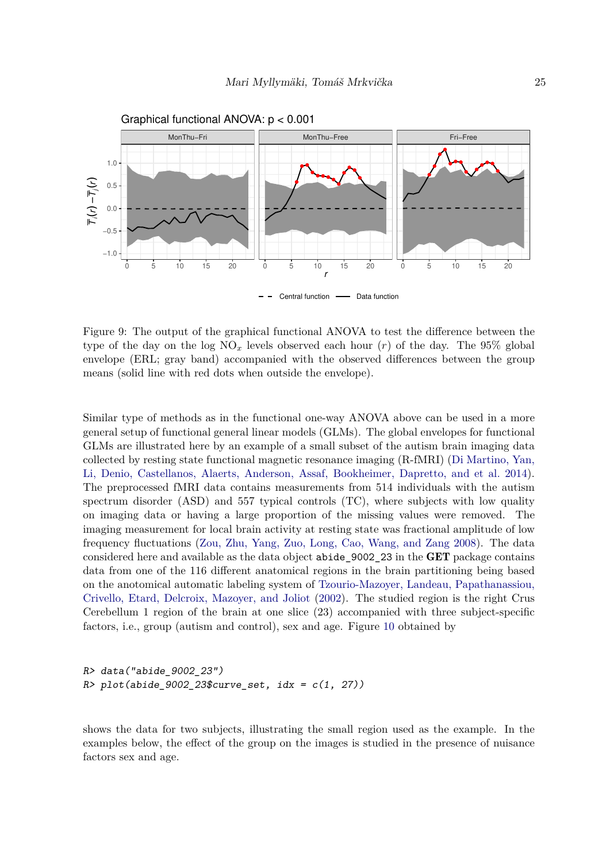

<span id="page-24-0"></span>Figure 9: The output of the graphical functional ANOVA to test the difference between the type of the day on the log  $NO<sub>x</sub>$  levels observed each hour (*r*) of the day. The 95% global envelope (ERL; gray band) accompanied with the observed differences between the group means (solid line with red dots when outside the envelope).

Similar type of methods as in the functional one-way ANOVA above can be used in a more general setup of functional general linear models (GLMs). The global envelopes for functional GLMs are illustrated here by an example of a small subset of the autism brain imaging data collected by resting state functional magnetic resonance imaging (R-fMRI) [\(Di Martino, Yan,](#page-32-12) [Li, Denio, Castellanos, Alaerts, Anderson, Assaf, Bookheimer, Dapretto, and et al. 2014\)](#page-32-12). The preprocessed fMRI data contains measurements from 514 individuals with the autism spectrum disorder (ASD) and 557 typical controls (TC), where subjects with low quality on imaging data or having a large proportion of the missing values were removed. The imaging measurement for local brain activity at resting state was fractional amplitude of low frequency fluctuations [\(Zou, Zhu, Yang, Zuo, Long, Cao, Wang, and Zang 2008\)](#page-36-10). The data considered here and available as the data object abide\_9002\_23 in the GET package contains data from one of the 116 different anatomical regions in the brain partitioning being based on the anotomical automatic labeling system of [Tzourio-Mazoyer, Landeau, Papathanassiou,](#page-36-11) [Crivello, Etard, Delcroix, Mazoyer, and Joliot](#page-36-11) [\(2002\)](#page-36-11). The studied region is the right Crus Cerebellum 1 region of the brain at one slice (23) accompanied with three subject-specific factors, i.e., group (autism and control), sex and age. Figure [10](#page-25-0) obtained by

```
R> data("abide_9002_23")
R> plot(abide_9002_23$curve_set, idx = c(1, 27))
```
shows the data for two subjects, illustrating the small region used as the example. In the examples below, the effect of the group on the images is studied in the presence of nuisance factors sex and age.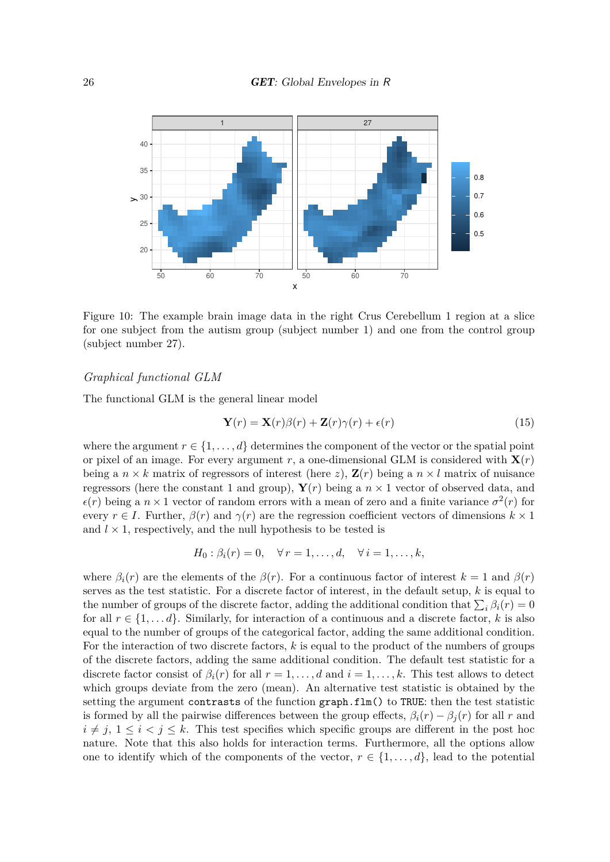

<span id="page-25-0"></span>Figure 10: The example brain image data in the right Crus Cerebellum 1 region at a slice for one subject from the autism group (subject number 1) and one from the control group (subject number 27).

### *Graphical functional GLM*

The functional GLM is the general linear model

<span id="page-25-1"></span>
$$
\mathbf{Y}(r) = \mathbf{X}(r)\beta(r) + \mathbf{Z}(r)\gamma(r) + \epsilon(r)
$$
\n(15)

where the argument  $r \in \{1, \ldots, d\}$  determines the component of the vector or the spatial point or pixel of an image. For every argument  $r$ , a one-dimensional GLM is considered with  $\mathbf{X}(r)$ being a  $n \times k$  matrix of regressors of interest (here *z*),  $\mathbf{Z}(r)$  being a  $n \times l$  matrix of nuisance regressors (here the constant 1 and group),  $\mathbf{Y}(r)$  being a  $n \times 1$  vector of observed data, and  $\epsilon(r)$  being a  $n \times 1$  vector of random errors with a mean of zero and a finite variance  $\sigma^2(r)$  for every  $r \in I$ . Further,  $\beta(r)$  and  $\gamma(r)$  are the regression coefficient vectors of dimensions  $k \times 1$ and  $l \times 1$ , respectively, and the null hypothesis to be tested is

$$
H_0: \beta_i(r) = 0, \quad \forall r = 1, \dots, d, \quad \forall i = 1, \dots, k,
$$

where  $\beta_i(r)$  are the elements of the  $\beta(r)$ . For a continuous factor of interest  $k = 1$  and  $\beta(r)$ serves as the test statistic. For a discrete factor of interest, in the default setup, *k* is equal to the number of groups of the discrete factor, adding the additional condition that  $\sum_i \beta_i(r) = 0$ for all  $r \in \{1, \ldots d\}$ . Similarly, for interaction of a continuous and a discrete factor, k is also equal to the number of groups of the categorical factor, adding the same additional condition. For the interaction of two discrete factors, *k* is equal to the product of the numbers of groups of the discrete factors, adding the same additional condition. The default test statistic for a discrete factor consist of  $\beta_i(r)$  for all  $r = 1, \ldots, d$  and  $i = 1, \ldots, k$ . This test allows to detect which groups deviate from the zero (mean). An alternative test statistic is obtained by the setting the argument contrasts of the function graph.flm() to TRUE: then the test statistic is formed by all the pairwise differences between the group effects,  $\beta_i(r) - \beta_i(r)$  for all *r* and  $i \neq j$ ,  $1 \leq i \leq j \leq k$ . This test specifies which specific groups are different in the post hoc nature. Note that this also holds for interaction terms. Furthermore, all the options allow one to identify which of the components of the vector,  $r \in \{1, \ldots, d\}$ , lead to the potential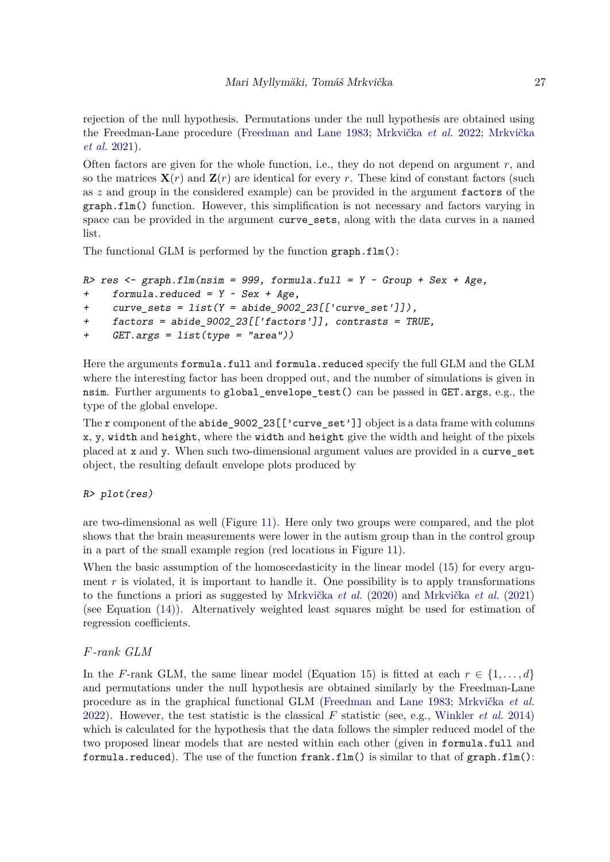rejection of the null hypothesis. Permutations under the null hypothesis are obtained using the Freedman-Lane procedure [\(Freedman and Lane 1983;](#page-32-3) [Mrkvička](#page-34-7) *et al.* [2022;](#page-34-7) [Mrkvička](#page-34-6) *[et al.](#page-34-6)* [2021\)](#page-34-6).

Often factors are given for the whole function, i.e., they do not depend on argument *r*, and so the matrices  $\mathbf{X}(r)$  and  $\mathbf{Z}(r)$  are identical for every r. These kind of constant factors (such as *z* and group in the considered example) can be provided in the argument factors of the graph.flm() function. However, this simplification is not necessary and factors varying in space can be provided in the argument curve sets, along with the data curves in a named list.

The functional GLM is performed by the function graph.flm():

```
R> res <- graph.flm(nsim = 999, formula.full = Y \sim Group + Sex + Age,
+ formula.reduced = Y ~ Sex + Age,
```

```
+ curve_sets = list(Y = abide_9002_23[['curve_set']]),
```

```
+ factors = abide_9002_23[['factors']], contrasts = TRUE,
```

```
+ GET.args = list(type = "area"))
```
Here the arguments formula.full and formula.reduced specify the full GLM and the GLM where the interesting factor has been dropped out, and the number of simulations is given in nsim. Further arguments to global\_envelope\_test() can be passed in GET.args, e.g., the type of the global envelope.

The r component of the abide  $9002\_23$  [['curve\_set']] object is a data frame with columns x, y, width and height, where the width and height give the width and height of the pixels placed at x and y. When such two-dimensional argument values are provided in a curve\_set object, the resulting default envelope plots produced by

### R> plot(res)

are two-dimensional as well (Figure [11\)](#page-27-1). Here only two groups were compared, and the plot shows that the brain measurements were lower in the autism group than in the control group in a part of the small example region (red locations in Figure [11\)](#page-27-1).

When the basic assumption of the homoscedasticity in the linear model [\(15\)](#page-25-1) for every argument  $r$  is violated, it is important to handle it. One possibility is to apply transformations to the functions a priori as suggested by [Mrkvička](#page-34-5) *et al.* [\(2020\)](#page-34-5) and [Mrkvička](#page-34-6) *et al.* [\(2021\)](#page-34-6) (see Equation [\(14\)](#page-23-1)). Alternatively weighted least squares might be used for estimation of regression coefficients.

### *F-rank GLM*

In the *F*-rank GLM, the same linear model (Equation [15\)](#page-25-1) is fitted at each  $r \in \{1, \ldots, d\}$ and permutations under the null hypothesis are obtained similarly by the Freedman-Lane procedure as in the graphical functional GLM [\(Freedman and Lane 1983;](#page-32-3) [Mrkvička](#page-34-7) *et al.* [2022\)](#page-34-7). However, the test statistic is the classical *F* statistic (see, e.g., [Winkler](#page-36-3) *et al.* [2014\)](#page-36-3) which is calculated for the hypothesis that the data follows the simpler reduced model of the two proposed linear models that are nested within each other (given in formula.full and formula.reduced). The use of the function  $frank.flm()$  is similar to that of graph.flm():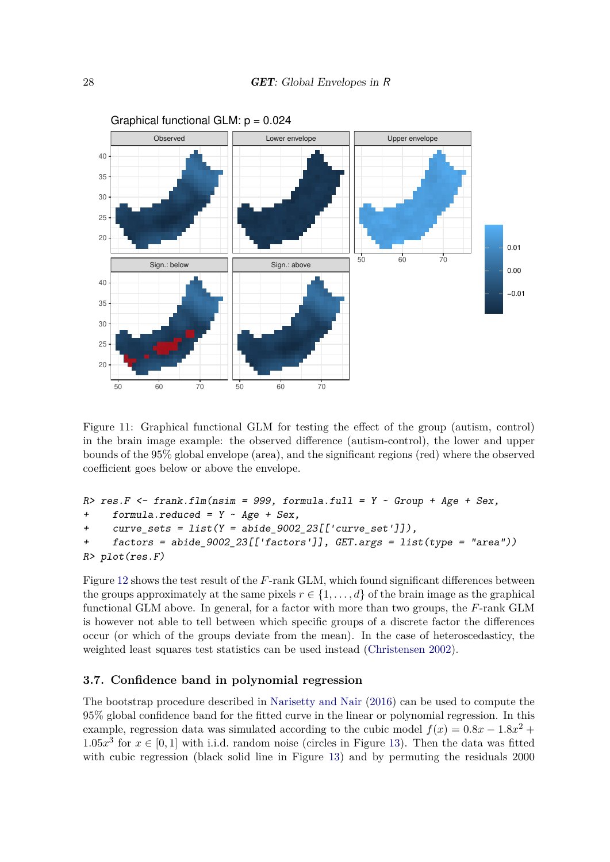

<span id="page-27-1"></span>Figure 11: Graphical functional GLM for testing the effect of the group (autism, control) in the brain image example: the observed difference (autism-control), the lower and upper bounds of the 95% global envelope (area), and the significant regions (red) where the observed coefficient goes below or above the envelope.

```
R> res.F <- frank.flm(nsim = 999, formula.full = Y \sim Group + Age + Sex,
+ formula.reduced = Y \sim Age + Sex,
     curve\_sets = list(Y = abide\_9002\_23[['curve\_set']]),+ factors = abide_9002_23[['factors']], GET.args = list(type = "area"))
R> plot(res.F)
```
Figure [12](#page-28-1) shows the test result of the *F*-rank GLM, which found significant differences between the groups approximately at the same pixels  $r \in \{1, \ldots, d\}$  of the brain image as the graphical functional GLM above. In general, for a factor with more than two groups, the *F*-rank GLM is however not able to tell between which specific groups of a discrete factor the differences occur (or which of the groups deviate from the mean). In the case of heteroscedasticy, the weighted least squares test statistics can be used instead [\(Christensen 2002\)](#page-31-12).

### <span id="page-27-0"></span>**3.7. Confidence band in polynomial regression**

The bootstrap procedure described in [Narisetty and Nair](#page-35-1) [\(2016\)](#page-35-1) can be used to compute the 95% global confidence band for the fitted curve in the linear or polynomial regression. In this example, regression data was simulated according to the cubic model  $f(x) = 0.8x - 1.8x^2 +$  $1.05x<sup>3</sup>$  for  $x \in [0, 1]$  with i.i.d. random noise (circles in Figure [13\)](#page-29-0). Then the data was fitted with cubic regression (black solid line in Figure [13\)](#page-29-0) and by permuting the residuals 2000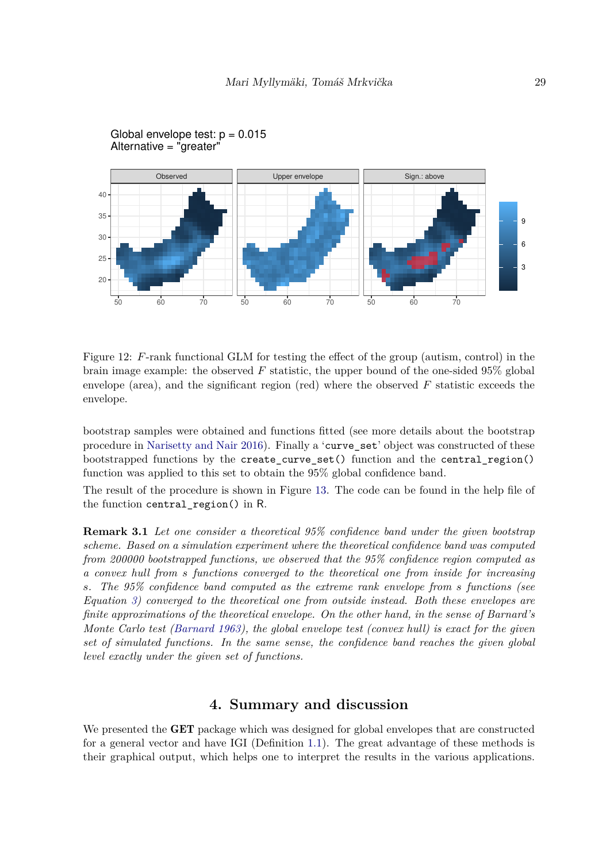

Global envelope test:  $p = 0.015$ Alternative = "greater"

<span id="page-28-1"></span>Figure 12: *F*-rank functional GLM for testing the effect of the group (autism, control) in the brain image example: the observed *F* statistic, the upper bound of the one-sided 95% global envelope (area), and the significant region (red) where the observed *F* statistic exceeds the envelope.

bootstrap samples were obtained and functions fitted (see more details about the bootstrap procedure in [Narisetty and Nair 2016\)](#page-35-1). Finally a 'curve\_set' object was constructed of these bootstrapped functions by the create\_curve\_set() function and the central\_region() function was applied to this set to obtain the 95% global confidence band.

The result of the procedure is shown in Figure [13.](#page-29-0) The code can be found in the help file of the function central region() in R.

**Remark 3.1** *Let one consider a theoretical 95% confidence band under the given bootstrap scheme. Based on a simulation experiment where the theoretical confidence band was computed from 200000 bootstrapped functions, we observed that the 95% confidence region computed as a convex hull from s functions converged to the theoretical one from inside for increasing s. The 95% confidence band computed as the extreme rank envelope from s functions (see Equation [3\)](#page-8-0) converged to the theoretical one from outside instead. Both these envelopes are finite approximations of the theoretical envelope. On the other hand, in the sense of Barnard's Monte Carlo test [\(Barnard 1963\)](#page-30-6), the global envelope test (convex hull) is exact for the given set of simulated functions. In the same sense, the confidence band reaches the given global level exactly under the given set of functions.*

# **4. Summary and discussion**

<span id="page-28-0"></span>We presented the **GET** package which was designed for global envelopes that are constructed for a general vector and have IGI (Definition [1.1\)](#page-2-0). The great advantage of these methods is their graphical output, which helps one to interpret the results in the various applications.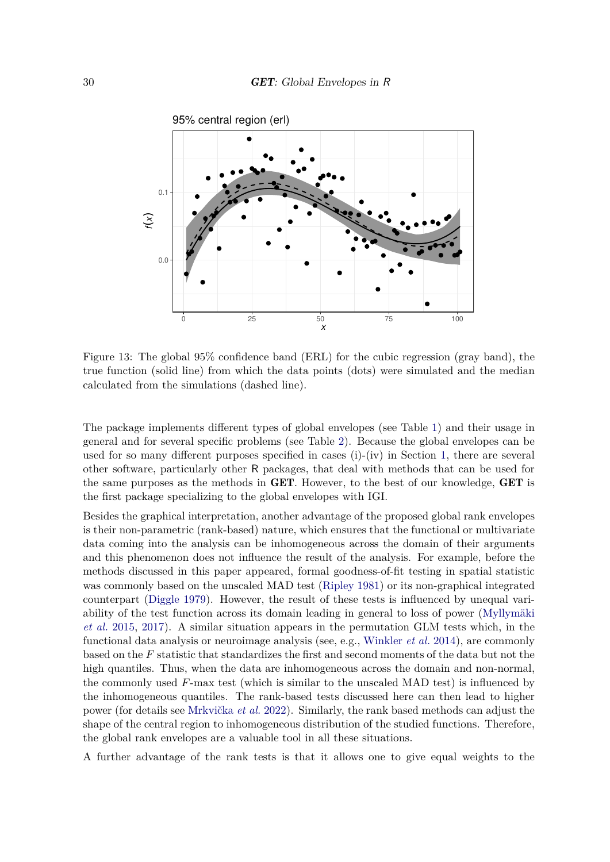

<span id="page-29-0"></span>Figure 13: The global 95% confidence band (ERL) for the cubic regression (gray band), the true function (solid line) from which the data points (dots) were simulated and the median calculated from the simulations (dashed line).

The package implements different types of global envelopes (see Table [1\)](#page-6-0) and their usage in general and for several specific problems (see Table [2\)](#page-7-0). Because the global envelopes can be used for so many different purposes specified in cases  $(i)-(iv)$  in Section [1,](#page-0-0) there are several other software, particularly other R packages, that deal with methods that can be used for the same purposes as the methods in GET. However, to the best of our knowledge, GET is the first package specializing to the global envelopes with IGI.

Besides the graphical interpretation, another advantage of the proposed global rank envelopes is their non-parametric (rank-based) nature, which ensures that the functional or multivariate data coming into the analysis can be inhomogeneous across the domain of their arguments and this phenomenon does not influence the result of the analysis. For example, before the methods discussed in this paper appeared, formal goodness-of-fit testing in spatial statistic was commonly based on the unscaled MAD test [\(Ripley 1981\)](#page-35-9) or its non-graphical integrated counterpart [\(Diggle 1979\)](#page-32-13). However, the result of these tests is influenced by unequal variability of the test function across its domain leading in general to loss of power [\(Myllymäki](#page-34-11) *[et al.](#page-34-11)* [2015,](#page-34-11) [2017\)](#page-34-0). A similar situation appears in the permutation GLM tests which, in the functional data analysis or neuroimage analysis (see, e.g., [Winkler](#page-36-3) *et al.* [2014\)](#page-36-3), are commonly based on the *F* statistic that standardizes the first and second moments of the data but not the high quantiles. Thus, when the data are inhomogeneous across the domain and non-normal, the commonly used *F*-max test (which is similar to the unscaled MAD test) is influenced by the inhomogeneous quantiles. The rank-based tests discussed here can then lead to higher power (for details see [Mrkvička](#page-34-7) *et al.* [2022\)](#page-34-7). Similarly, the rank based methods can adjust the shape of the central region to inhomogeneous distribution of the studied functions. Therefore, the global rank envelopes are a valuable tool in all these situations.

A further advantage of the rank tests is that it allows one to give equal weights to the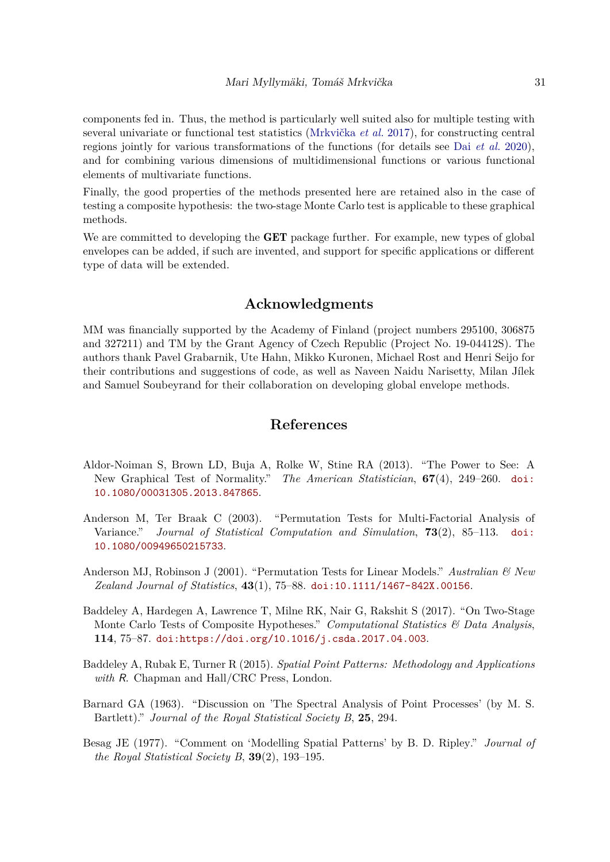components fed in. Thus, the method is particularly well suited also for multiple testing with several univariate or functional test statistics [\(Mrkvička](#page-34-1) *et al.* [2017\)](#page-34-1), for constructing central regions jointly for various transformations of the functions (for details see Dai *[et al.](#page-31-1)* [2020\)](#page-31-1), and for combining various dimensions of multidimensional functions or various functional elements of multivariate functions.

Finally, the good properties of the methods presented here are retained also in the case of testing a composite hypothesis: the two-stage Monte Carlo test is applicable to these graphical methods.

We are committed to developing the **GET** package further. For example, new types of global envelopes can be added, if such are invented, and support for specific applications or different type of data will be extended.

## **Acknowledgments**

MM was financially supported by the Academy of Finland (project numbers 295100, 306875 and 327211) and TM by the Grant Agency of Czech Republic (Project No. 19-04412S). The authors thank Pavel Grabarnik, Ute Hahn, Mikko Kuronen, Michael Rost and Henri Seijo for their contributions and suggestions of code, as well as Naveen Naidu Narisetty, Milan Jílek and Samuel Soubeyrand for their collaboration on developing global envelope methods.

# **References**

- <span id="page-30-4"></span>Aldor-Noiman S, Brown LD, Buja A, Rolke W, Stine RA (2013). "The Power to See: A New Graphical Test of Normality." *The American Statistician*, **67**(4), 249–260. [doi:](https://doi.org/10.1080/00031305.2013.847865) [10.1080/00031305.2013.847865](https://doi.org/10.1080/00031305.2013.847865).
- <span id="page-30-1"></span>Anderson M, Ter Braak C (2003). "Permutation Tests for Multi-Factorial Analysis of Variance." *Journal of Statistical Computation and Simulation*, **73**(2), 85–113. [doi:](https://doi.org/10.1080/00949650215733) [10.1080/00949650215733](https://doi.org/10.1080/00949650215733).
- <span id="page-30-0"></span>Anderson MJ, Robinson J (2001). "Permutation Tests for Linear Models." *Australian & New Zealand Journal of Statistics*, **43**(1), 75–88. [doi:10.1111/1467-842X.00156](https://doi.org/10.1111/1467-842X.00156).
- <span id="page-30-3"></span>Baddeley A, Hardegen A, Lawrence T, Milne RK, Nair G, Rakshit S (2017). "On Two-Stage Monte Carlo Tests of Composite Hypotheses." *Computational Statistics & Data Analysis*, **114**, 75–87. [doi:https://doi.org/10.1016/j.csda.2017.04.003](https://doi.org/https://doi.org/10.1016/j.csda.2017.04.003).
- <span id="page-30-2"></span>Baddeley A, Rubak E, Turner R (2015). *Spatial Point Patterns: Methodology and Applications with* R. Chapman and Hall/CRC Press, London.
- <span id="page-30-6"></span>Barnard GA (1963). "Discussion on 'The Spectral Analysis of Point Processes' (by M. S. Bartlett)." *Journal of the Royal Statistical Society B*, **25**, 294.
- <span id="page-30-5"></span>Besag JE (1977). "Comment on 'Modelling Spatial Patterns' by B. D. Ripley." *Journal of the Royal Statistical Society B*, **39**(2), 193–195.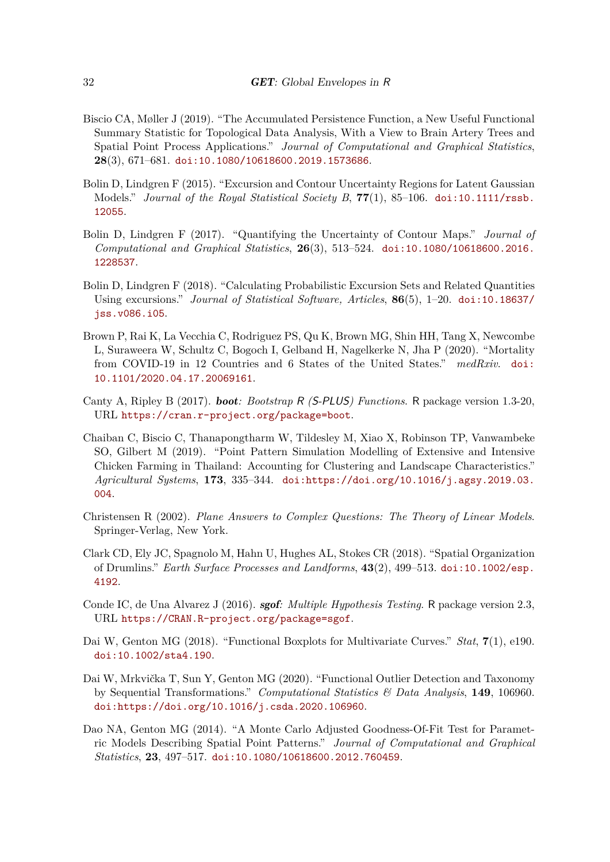- <span id="page-31-4"></span>Biscio CA, Møller J (2019). "The Accumulated Persistence Function, a New Useful Functional Summary Statistic for Topological Data Analysis, With a View to Brain Artery Trees and Spatial Point Process Applications." *Journal of Computational and Graphical Statistics*, **28**(3), 671–681. [doi:10.1080/10618600.2019.1573686](https://doi.org/10.1080/10618600.2019.1573686).
- <span id="page-31-8"></span>Bolin D, Lindgren F (2015). "Excursion and Contour Uncertainty Regions for Latent Gaussian Models." *Journal of the Royal Statistical Society B*, **77**(1), 85–106. [doi:10.1111/rssb.](https://doi.org/10.1111/rssb.12055) [12055](https://doi.org/10.1111/rssb.12055).
- <span id="page-31-9"></span>Bolin D, Lindgren F (2017). "Quantifying the Uncertainty of Contour Maps." *Journal of Computational and Graphical Statistics*, **26**(3), 513–524. [doi:10.1080/10618600.2016.](https://doi.org/10.1080/10618600.2016.1228537) [1228537](https://doi.org/10.1080/10618600.2016.1228537).
- <span id="page-31-10"></span>Bolin D, Lindgren F (2018). "Calculating Probabilistic Excursion Sets and Related Quantities Using excursions." *Journal of Statistical Software, Articles*, **86**(5), 1–20. [doi:10.18637/](https://doi.org/10.18637/jss.v086.i05) [jss.v086.i05](https://doi.org/10.18637/jss.v086.i05).
- <span id="page-31-5"></span>Brown P, Rai K, La Vecchia C, Rodriguez PS, Qu K, Brown MG, Shin HH, Tang X, Newcombe L, Suraweera W, Schultz C, Bogoch I, Gelband H, Nagelkerke N, Jha P (2020). "Mortality from COVID-19 in 12 Countries and 6 States of the United States." *medRxiv*. [doi:](https://doi.org/10.1101/2020.04.17.20069161) [10.1101/2020.04.17.20069161](https://doi.org/10.1101/2020.04.17.20069161).
- <span id="page-31-7"></span>Canty A, Ripley B (2017). boot*: Bootstrap* R *(*S-PLUS*) Functions*. R package version 1.3-20, URL <https://cran.r-project.org/package=boot>.
- <span id="page-31-2"></span>Chaiban C, Biscio C, Thanapongtharm W, Tildesley M, Xiao X, Robinson TP, Vanwambeke SO, Gilbert M (2019). "Point Pattern Simulation Modelling of Extensive and Intensive Chicken Farming in Thailand: Accounting for Clustering and Landscape Characteristics." *Agricultural Systems*, **173**, 335–344. [doi:https://doi.org/10.1016/j.agsy.2019.03.](https://doi.org/https://doi.org/10.1016/j.agsy.2019.03.004) [004](https://doi.org/https://doi.org/10.1016/j.agsy.2019.03.004).
- <span id="page-31-12"></span>Christensen R (2002). *Plane Answers to Complex Questions: The Theory of Linear Models*. Springer-Verlag, New York.
- <span id="page-31-3"></span>Clark CD, Ely JC, Spagnolo M, Hahn U, Hughes AL, Stokes CR (2018). "Spatial Organization of Drumlins." *Earth Surface Processes and Landforms*, **43**(2), 499–513. [doi:10.1002/esp.](https://doi.org/10.1002/esp.4192) [4192](https://doi.org/10.1002/esp.4192).
- <span id="page-31-11"></span>Conde IC, de Una Alvarez J (2016). sgof*: Multiple Hypothesis Testing*. R package version 2.3, URL <https://CRAN.R-project.org/package=sgof>.
- <span id="page-31-0"></span>Dai W, Genton MG (2018). "Functional Boxplots for Multivariate Curves." *Stat*, **7**(1), e190. [doi:10.1002/sta4.190](https://doi.org/10.1002/sta4.190).
- <span id="page-31-1"></span>Dai W, Mrkvička T, Sun Y, Genton MG (2020). "Functional Outlier Detection and Taxonomy by Sequential Transformations." *Computational Statistics & Data Analysis*, **149**, 106960. [doi:https://doi.org/10.1016/j.csda.2020.106960](https://doi.org/https://doi.org/10.1016/j.csda.2020.106960).
- <span id="page-31-6"></span>Dao NA, Genton MG (2014). "A Monte Carlo Adjusted Goodness-Of-Fit Test for Parametric Models Describing Spatial Point Patterns." *Journal of Computational and Graphical Statistics*, **23**, 497–517. [doi:10.1080/10618600.2012.760459](https://doi.org/10.1080/10618600.2012.760459).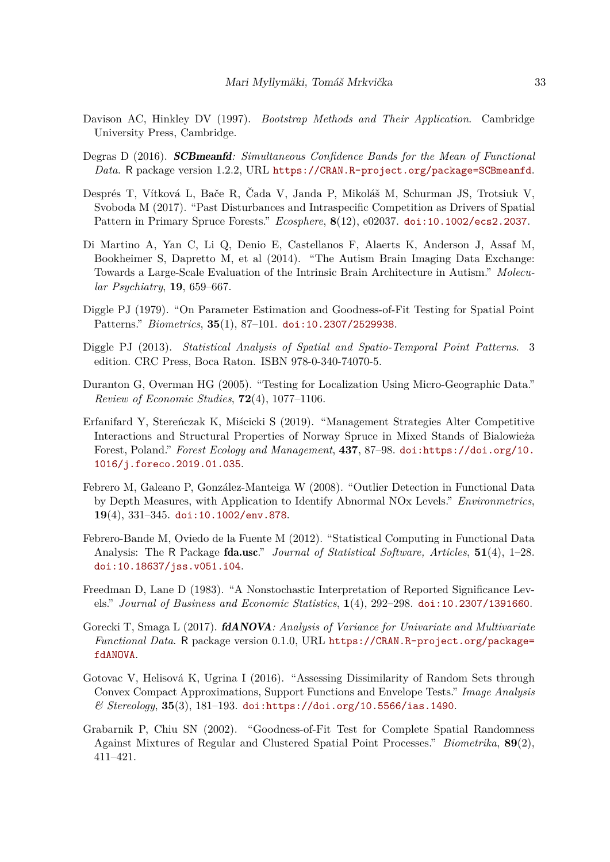- <span id="page-32-4"></span>Davison AC, Hinkley DV (1997). *Bootstrap Methods and Their Application*. Cambridge University Press, Cambridge.
- <span id="page-32-6"></span>Degras D (2016). SCBmeanfd*: Simultaneous Confidence Bands for the Mean of Functional Data*. R package version 1.2.2, URL <https://CRAN.R-project.org/package=SCBmeanfd>.
- <span id="page-32-1"></span>Després T, Vítková L, Bače R, Čada V, Janda P, Mikoláš M, Schurman JS, Trotsiuk V, Svoboda M (2017). "Past Disturbances and Intraspecific Competition as Drivers of Spatial Pattern in Primary Spruce Forests." *Ecosphere*, **8**(12), e02037. [doi:10.1002/ecs2.2037](https://doi.org/10.1002/ecs2.2037).
- <span id="page-32-12"></span>Di Martino A, Yan C, Li Q, Denio E, Castellanos F, Alaerts K, Anderson J, Assaf M, Bookheimer S, Dapretto M, et al (2014). "The Autism Brain Imaging Data Exchange: Towards a Large-Scale Evaluation of the Intrinsic Brain Architecture in Autism." *Molecular Psychiatry*, **19**, 659–667.
- <span id="page-32-13"></span>Diggle PJ (1979). "On Parameter Estimation and Goodness-of-Fit Testing for Spatial Point Patterns." *Biometrics*, **35**(1), 87–101. [doi:10.2307/2529938](https://doi.org/10.2307/2529938).
- <span id="page-32-10"></span>Diggle PJ (2013). *Statistical Analysis of Spatial and Spatio-Temporal Point Patterns*. 3 edition. CRC Press, Boca Raton. ISBN 978-0-340-74070-5.
- <span id="page-32-5"></span>Duranton G, Overman HG (2005). "Testing for Localization Using Micro-Geographic Data." *Review of Economic Studies*, **72**(4), 1077–1106.
- <span id="page-32-2"></span>Erfanifard Y, Stereńczak K, Miścicki S (2019). "Management Strategies Alter Competitive Interactions and Structural Properties of Norway Spruce in Mixed Stands of Bialowieża Forest, Poland." *Forest Ecology and Management*, **437**, 87–98. [doi:https://doi.org/10.](https://doi.org/https://doi.org/10.1016/j.foreco.2019.01.035) [1016/j.foreco.2019.01.035](https://doi.org/https://doi.org/10.1016/j.foreco.2019.01.035).
- <span id="page-32-11"></span>Febrero M, Galeano P, González-Manteiga W (2008). "Outlier Detection in Functional Data by Depth Measures, with Application to Identify Abnormal NOx Levels." *Environmetrics*, **19**(4), 331–345. [doi:10.1002/env.878](https://doi.org/10.1002/env.878).
- <span id="page-32-7"></span>Febrero-Bande M, Oviedo de la Fuente M (2012). "Statistical Computing in Functional Data Analysis: The R Package fda.usc." *Journal of Statistical Software, Articles*, **51**(4), 1–28. [doi:10.18637/jss.v051.i04](https://doi.org/10.18637/jss.v051.i04).
- <span id="page-32-3"></span>Freedman D, Lane D (1983). "A Nonstochastic Interpretation of Reported Significance Levels." *Journal of Business and Economic Statistics*, **1**(4), 292–298. [doi:10.2307/1391660](https://doi.org/10.2307/1391660).
- <span id="page-32-8"></span>Gorecki T, Smaga L (2017). fdANOVA*: Analysis of Variance for Univariate and Multivariate Functional Data*. R package version 0.1.0, URL [https://CRAN.R-project.org/package=](https://CRAN.R-project.org/package=fdANOVA) [fdANOVA](https://CRAN.R-project.org/package=fdANOVA).
- <span id="page-32-0"></span>Gotovac V, Helisová K, Ugrina I (2016). "Assessing Dissimilarity of Random Sets through Convex Compact Approximations, Support Functions and Envelope Tests." *Image Analysis & Stereology*, **35**(3), 181–193. [doi:https://doi.org/10.5566/ias.1490](https://doi.org/https://doi.org/10.5566/ias.1490).
- <span id="page-32-9"></span>Grabarnik P, Chiu SN (2002). "Goodness-of-Fit Test for Complete Spatial Randomness Against Mixtures of Regular and Clustered Spatial Point Processes." *Biometrika*, **89**(2), 411–421.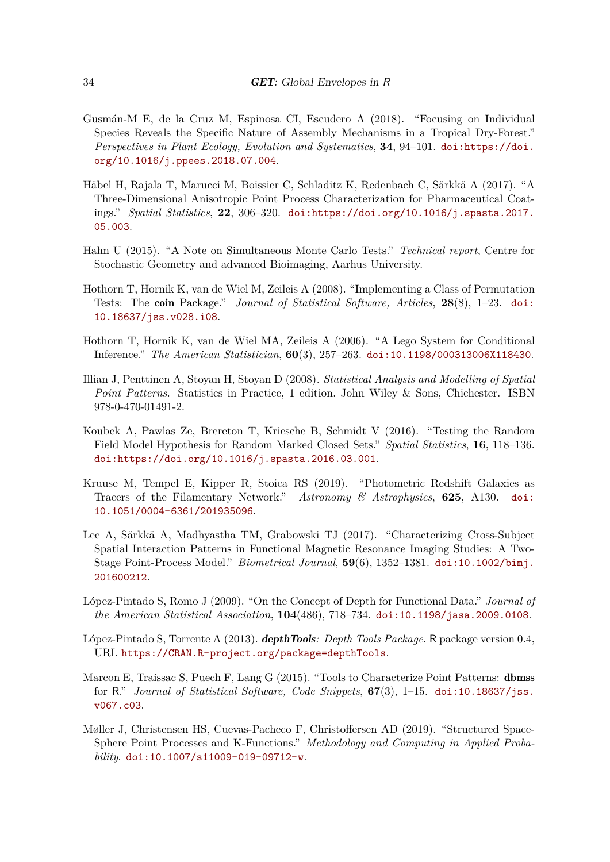- <span id="page-33-2"></span>Gusmán-M E, de la Cruz M, Espinosa CI, Escudero A (2018). "Focusing on Individual Species Reveals the Specific Nature of Assembly Mechanisms in a Tropical Dry-Forest." *Perspectives in Plant Ecology, Evolution and Systematics*, **34**, 94–101. [doi:https://doi.](https://doi.org/https://doi.org/10.1016/j.ppees.2018.07.004) [org/10.1016/j.ppees.2018.07.004](https://doi.org/https://doi.org/10.1016/j.ppees.2018.07.004).
- <span id="page-33-3"></span>Häbel H, Rajala T, Marucci M, Boissier C, Schladitz K, Redenbach C, Särkkä A (2017). "A Three-Dimensional Anisotropic Point Process Characterization for Pharmaceutical Coatings." *Spatial Statistics*, **22**, 306–320. [doi:https://doi.org/10.1016/j.spasta.2017.](https://doi.org/https://doi.org/10.1016/j.spasta.2017.05.003) [05.003](https://doi.org/https://doi.org/10.1016/j.spasta.2017.05.003).
- <span id="page-33-11"></span>Hahn U (2015). "A Note on Simultaneous Monte Carlo Tests." *Technical report*, Centre for Stochastic Geometry and advanced Bioimaging, Aarhus University.
- <span id="page-33-9"></span>Hothorn T, Hornik K, van de Wiel M, Zeileis A (2008). "Implementing a Class of Permutation Tests: The coin Package." *Journal of Statistical Software, Articles*, **28**(8), 1–23. [doi:](https://doi.org/10.18637/jss.v028.i08) [10.18637/jss.v028.i08](https://doi.org/10.18637/jss.v028.i08).
- <span id="page-33-10"></span>Hothorn T, Hornik K, van de Wiel MA, Zeileis A (2006). "A Lego System for Conditional Inference." *The American Statistician*, **60**(3), 257–263. [doi:10.1198/000313006X118430](https://doi.org/10.1198/000313006X118430).
- <span id="page-33-12"></span>Illian J, Penttinen A, Stoyan H, Stoyan D (2008). *Statistical Analysis and Modelling of Spatial Point Patterns*. Statistics in Practice, 1 edition. John Wiley & Sons, Chichester. ISBN 978-0-470-01491-2.
- <span id="page-33-0"></span>Koubek A, Pawlas Ze, Brereton T, Kriesche B, Schmidt V (2016). "Testing the Random Field Model Hypothesis for Random Marked Closed Sets." *Spatial Statistics*, **16**, 118–136. [doi:https://doi.org/10.1016/j.spasta.2016.03.001](https://doi.org/https://doi.org/10.1016/j.spasta.2016.03.001).
- <span id="page-33-1"></span>Kruuse M, Tempel E, Kipper R, Stoica RS (2019). "Photometric Redshift Galaxies as Tracers of the Filamentary Network." *Astronomy & Astrophysics*, **625**, A130. [doi:](https://doi.org/10.1051/0004-6361/201935096) [10.1051/0004-6361/201935096](https://doi.org/10.1051/0004-6361/201935096).
- <span id="page-33-4"></span>Lee A, Särkkä A, Madhyastha TM, Grabowski TJ (2017). "Characterizing Cross-Subject Spatial Interaction Patterns in Functional Magnetic Resonance Imaging Studies: A Two-Stage Point-Process Model." *Biometrical Journal*, **59**(6), 1352–1381. [doi:10.1002/bimj.](https://doi.org/10.1002/bimj.201600212) [201600212](https://doi.org/10.1002/bimj.201600212).
- <span id="page-33-6"></span>López-Pintado S, Romo J (2009). "On the Concept of Depth for Functional Data." *Journal of the American Statistical Association*, **104**(486), 718–734. [doi:10.1198/jasa.2009.0108](https://doi.org/10.1198/jasa.2009.0108).
- <span id="page-33-7"></span>López-Pintado S, Torrente A (2013). depthTools*: Depth Tools Package*. R package version 0.4, URL <https://CRAN.R-project.org/package=depthTools>.
- <span id="page-33-8"></span>Marcon E, Traissac S, Puech F, Lang G (2015). "Tools to Characterize Point Patterns: **dbmss** for R." *Journal of Statistical Software, Code Snippets*, **67**(3), 1–15. [doi:10.18637/jss.](https://doi.org/10.18637/jss.v067.c03) [v067.c03](https://doi.org/10.18637/jss.v067.c03).
- <span id="page-33-5"></span>Møller J, Christensen HS, Cuevas-Pacheco F, Christoffersen AD (2019). "Structured Space-Sphere Point Processes and K-Functions." *Methodology and Computing in Applied Probability*. [doi:10.1007/s11009-019-09712-w](https://doi.org/10.1007/s11009-019-09712-w).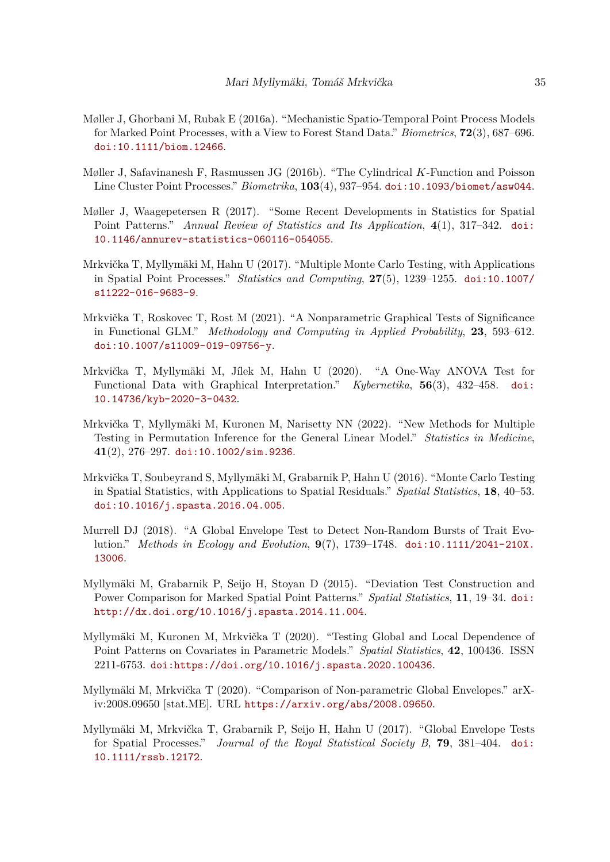- <span id="page-34-8"></span>Møller J, Ghorbani M, Rubak E (2016a). "Mechanistic Spatio-Temporal Point Process Models for Marked Point Processes, with a View to Forest Stand Data." *Biometrics*, **72**(3), 687–696. [doi:10.1111/biom.12466](https://doi.org/10.1111/biom.12466).
- <span id="page-34-9"></span>Møller J, Safavinanesh F, Rasmussen JG (2016b). "The Cylindrical *K*-Function and Poisson Line Cluster Point Processes." *Biometrika*, **103**(4), 937–954. [doi:10.1093/biomet/asw044](https://doi.org/10.1093/biomet/asw044).
- <span id="page-34-3"></span>Møller J, Waagepetersen R (2017). "Some Recent Developments in Statistics for Spatial Point Patterns." *Annual Review of Statistics and Its Application*, **4**(1), 317–342. [doi:](https://doi.org/10.1146/annurev-statistics-060116-054055) [10.1146/annurev-statistics-060116-054055](https://doi.org/10.1146/annurev-statistics-060116-054055).
- <span id="page-34-1"></span>Mrkvička T, Myllymäki M, Hahn U (2017). "Multiple Monte Carlo Testing, with Applications in Spatial Point Processes." *Statistics and Computing*, **27**(5), 1239–1255. [doi:10.1007/](https://doi.org/10.1007/s11222-016-9683-9) [s11222-016-9683-9](https://doi.org/10.1007/s11222-016-9683-9).
- <span id="page-34-6"></span>Mrkvička T, Roskovec T, Rost M (2021). "A Nonparametric Graphical Tests of Significance in Functional GLM." *Methodology and Computing in Applied Probability*, **23**, 593–612. [doi:10.1007/s11009-019-09756-y](https://doi.org/10.1007/s11009-019-09756-y).
- <span id="page-34-5"></span>Mrkvička T, Myllymäki M, Jílek M, Hahn U (2020). "A One-Way ANOVA Test for Functional Data with Graphical Interpretation." *Kybernetika*, **56**(3), 432–458. [doi:](https://doi.org/10.14736/kyb-2020-3-0432) [10.14736/kyb-2020-3-0432](https://doi.org/10.14736/kyb-2020-3-0432).
- <span id="page-34-7"></span>Mrkvička T, Myllymäki M, Kuronen M, Narisetty NN (2022). "New Methods for Multiple Testing in Permutation Inference for the General Linear Model." *Statistics in Medicine*, **41**(2), 276–297. [doi:10.1002/sim.9236](https://doi.org/10.1002/sim.9236).
- <span id="page-34-2"></span>Mrkvička T, Soubeyrand S, Myllymäki M, Grabarnik P, Hahn U (2016). "Monte Carlo Testing in Spatial Statistics, with Applications to Spatial Residuals." *Spatial Statistics*, **18**, 40–53. [doi:10.1016/j.spasta.2016.04.005](https://doi.org/10.1016/j.spasta.2016.04.005).
- <span id="page-34-10"></span>Murrell DJ (2018). "A Global Envelope Test to Detect Non-Random Bursts of Trait Evolution." *Methods in Ecology and Evolution*, **9**(7), 1739–1748. [doi:10.1111/2041-210X.](https://doi.org/10.1111/2041-210X.13006) [13006](https://doi.org/10.1111/2041-210X.13006).
- <span id="page-34-11"></span>Myllymäki M, Grabarnik P, Seijo H, Stoyan D (2015). "Deviation Test Construction and Power Comparison for Marked Spatial Point Patterns." *Spatial Statistics*, **11**, 19–34. [doi:](https://doi.org/http://dx.doi.org/10.1016/j.spasta.2014.11.004) [http://dx.doi.org/10.1016/j.spasta.2014.11.004](https://doi.org/http://dx.doi.org/10.1016/j.spasta.2014.11.004).
- <span id="page-34-4"></span>Myllymäki M, Kuronen M, Mrkvička T (2020). "Testing Global and Local Dependence of Point Patterns on Covariates in Parametric Models." *Spatial Statistics*, **42**, 100436. ISSN 2211-6753. [doi:https://doi.org/10.1016/j.spasta.2020.100436](https://doi.org/https://doi.org/10.1016/j.spasta.2020.100436).
- <span id="page-34-12"></span>Myllymäki M, Mrkvička T (2020). "Comparison of Non-parametric Global Envelopes." arXiv:2008.09650 [stat.ME]. URL <https://arxiv.org/abs/2008.09650>.
- <span id="page-34-0"></span>Myllymäki M, Mrkvička T, Grabarnik P, Seijo H, Hahn U (2017). "Global Envelope Tests for Spatial Processes." *Journal of the Royal Statistical Society B*, **79**, 381–404. [doi:](https://doi.org/10.1111/rssb.12172) [10.1111/rssb.12172](https://doi.org/10.1111/rssb.12172).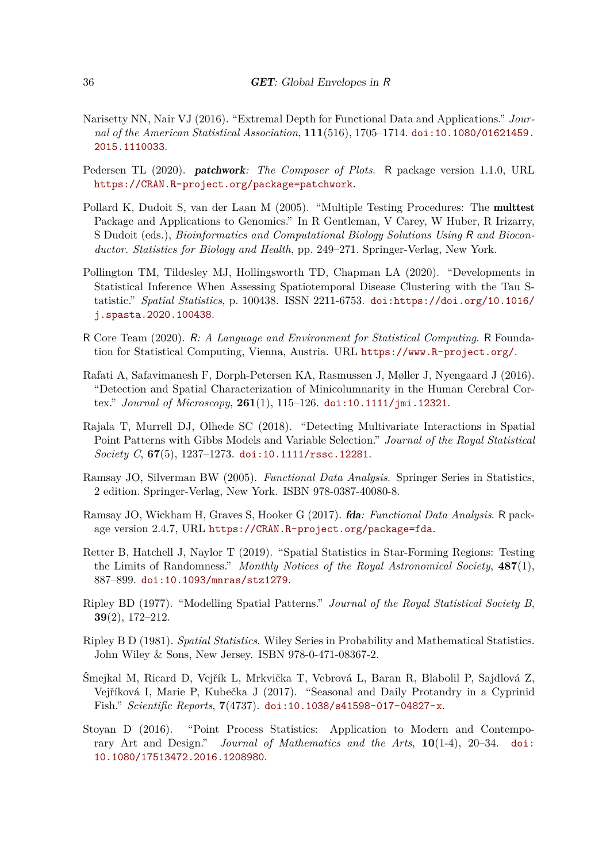- <span id="page-35-1"></span>Narisetty NN, Nair VJ (2016). "Extremal Depth for Functional Data and Applications." *Journal of the American Statistical Association*, **111**(516), 1705–1714. [doi:10.1080/01621459.](https://doi.org/10.1080/01621459.2015.1110033) [2015.1110033](https://doi.org/10.1080/01621459.2015.1110033).
- <span id="page-35-12"></span>Pedersen TL (2020). patchwork*: The Composer of Plots*. R package version 1.1.0, URL <https://CRAN.R-project.org/package=patchwork>.
- <span id="page-35-10"></span>Pollard K, Dudoit S, van der Laan M (2005). "Multiple Testing Procedures: The multtest Package and Applications to Genomics." In R Gentleman, V Carey, W Huber, R Irizarry, S Dudoit (eds.), *Bioinformatics and Computational Biology Solutions Using* R *and Bioconductor. Statistics for Biology and Health*, pp. 249–271. Springer-Verlag, New York.
- <span id="page-35-0"></span>Pollington TM, Tildesley MJ, Hollingsworth TD, Chapman LA (2020). "Developments in Statistical Inference When Assessing Spatiotemporal Disease Clustering with the Tau Statistic." *Spatial Statistics*, p. 100438. ISSN 2211-6753. [doi:https://doi.org/10.1016/](https://doi.org/https://doi.org/10.1016/j.spasta.2020.100438) [j.spasta.2020.100438](https://doi.org/https://doi.org/10.1016/j.spasta.2020.100438).
- <span id="page-35-7"></span>R Core Team (2020). R*: A Language and Environment for Statistical Computing*. R Foundation for Statistical Computing, Vienna, Austria. URL <https://www.R-project.org/>.
- <span id="page-35-6"></span>Rafati A, Safavimanesh F, Dorph-Petersen KA, Rasmussen J, Møller J, Nyengaard J (2016). "Detection and Spatial Characterization of Minicolumnarity in the Human Cerebral Cortex." *Journal of Microscopy*, **261**(1), 115–126. [doi:10.1111/jmi.12321](https://doi.org/10.1111/jmi.12321).
- <span id="page-35-2"></span>Rajala T, Murrell DJ, Olhede SC (2018). "Detecting Multivariate Interactions in Spatial Point Patterns with Gibbs Models and Variable Selection." *Journal of the Royal Statistical Society C*, **67**(5), 1237–1273. [doi:10.1111/rssc.12281](https://doi.org/10.1111/rssc.12281).
- <span id="page-35-11"></span>Ramsay JO, Silverman BW (2005). *Functional Data Analysis*. Springer Series in Statistics, 2 edition. Springer-Verlag, New York. ISBN 978-0387-40080-8.
- <span id="page-35-8"></span>Ramsay JO, Wickham H, Graves S, Hooker G (2017). fda*: Functional Data Analysis*. R package version 2.4.7, URL <https://CRAN.R-project.org/package=fda>.
- <span id="page-35-4"></span>Retter B, Hatchell J, Naylor T (2019). "Spatial Statistics in Star-Forming Regions: Testing the Limits of Randomness." *Monthly Notices of the Royal Astronomical Society*, **487**(1), 887–899. [doi:10.1093/mnras/stz1279](https://doi.org/10.1093/mnras/stz1279).
- <span id="page-35-13"></span>Ripley BD (1977). "Modelling Spatial Patterns." *Journal of the Royal Statistical Society B*, **39**(2), 172–212.
- <span id="page-35-9"></span>Ripley B D (1981). *Spatial Statistics*. Wiley Series in Probability and Mathematical Statistics. John Wiley & Sons, New Jersey. ISBN 978-0-471-08367-2.
- <span id="page-35-5"></span>Šmejkal M, Ricard D, Vejřík L, Mrkvička T, Vebrová L, Baran R, Blabolil P, Sajdlová Z, Vejříková I, Marie P, Kubečka J (2017). "Seasonal and Daily Protandry in a Cyprinid Fish." *Scientific Reports*, **7**(4737). [doi:10.1038/s41598-017-04827-x](https://doi.org/10.1038/s41598-017-04827-x).
- <span id="page-35-3"></span>Stoyan D (2016). "Point Process Statistics: Application to Modern and Contemporary Art and Design." *Journal of Mathematics and the Arts*, **10**(1-4), 20–34. [doi:](https://doi.org/10.1080/17513472.2016.1208980) [10.1080/17513472.2016.1208980](https://doi.org/10.1080/17513472.2016.1208980).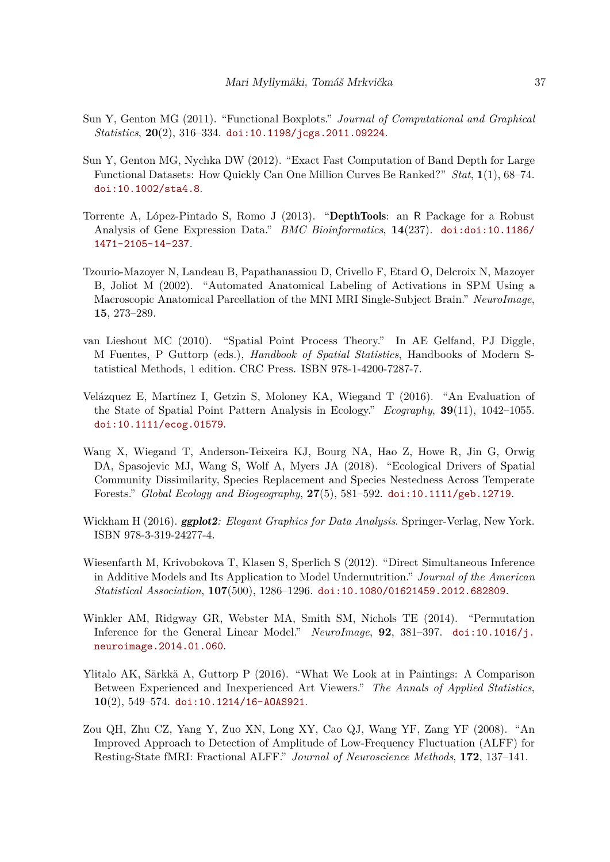- <span id="page-36-8"></span>Sun Y, Genton MG (2011). "Functional Boxplots." *Journal of Computational and Graphical Statistics*, **20**(2), 316–334. [doi:10.1198/jcgs.2011.09224](https://doi.org/10.1198/jcgs.2011.09224).
- <span id="page-36-4"></span>Sun Y, Genton MG, Nychka DW (2012). "Exact Fast Computation of Band Depth for Large Functional Datasets: How Quickly Can One Million Curves Be Ranked?" *Stat*, **1**(1), 68–74. [doi:10.1002/sta4.8](https://doi.org/10.1002/sta4.8).
- <span id="page-36-5"></span>Torrente A, López-Pintado S, Romo J (2013). "DepthTools: an R Package for a Robust Analysis of Gene Expression Data." *BMC Bioinformatics*, **14**(237). [doi:doi:10.1186/](https://doi.org/doi:10.1186/1471-2105-14-237) [1471-2105-14-237](https://doi.org/doi:10.1186/1471-2105-14-237).
- <span id="page-36-11"></span>Tzourio-Mazoyer N, Landeau B, Papathanassiou D, Crivello F, Etard O, Delcroix N, Mazoyer B, Joliot M (2002). "Automated Anatomical Labeling of Activations in SPM Using a Macroscopic Anatomical Parcellation of the MNI MRI Single-Subject Brain." *NeuroImage*, **15**, 273–289.
- <span id="page-36-9"></span>van Lieshout MC (2010). "Spatial Point Process Theory." In AE Gelfand, PJ Diggle, M Fuentes, P Guttorp (eds.), *Handbook of Spatial Statistics*, Handbooks of Modern Statistical Methods, 1 edition. CRC Press. ISBN 978-1-4200-7287-7.
- <span id="page-36-0"></span>Velázquez E, Martínez I, Getzin S, Moloney KA, Wiegand T (2016). "An Evaluation of the State of Spatial Point Pattern Analysis in Ecology." *Ecography*, **39**(11), 1042–1055. [doi:10.1111/ecog.01579](https://doi.org/10.1111/ecog.01579).
- <span id="page-36-1"></span>Wang X, Wiegand T, Anderson-Teixeira KJ, Bourg NA, Hao Z, Howe R, Jin G, Orwig DA, Spasojevic MJ, Wang S, Wolf A, Myers JA (2018). "Ecological Drivers of Spatial Community Dissimilarity, Species Replacement and Species Nestedness Across Temperate Forests." *Global Ecology and Biogeography*, **27**(5), 581–592. [doi:10.1111/geb.12719](https://doi.org/10.1111/geb.12719).
- <span id="page-36-7"></span>Wickham H (2016). ggplot2*: Elegant Graphics for Data Analysis*. Springer-Verlag, New York. ISBN 978-3-319-24277-4.
- <span id="page-36-6"></span>Wiesenfarth M, Krivobokova T, Klasen S, Sperlich S (2012). "Direct Simultaneous Inference in Additive Models and Its Application to Model Undernutrition." *Journal of the American Statistical Association*, **107**(500), 1286–1296. [doi:10.1080/01621459.2012.682809](https://doi.org/10.1080/01621459.2012.682809).
- <span id="page-36-3"></span>Winkler AM, Ridgway GR, Webster MA, Smith SM, Nichols TE (2014). "Permutation Inference for the General Linear Model." *NeuroImage*, **92**, 381–397. [doi:10.1016/j.](https://doi.org/10.1016/j.neuroimage.2014.01.060) [neuroimage.2014.01.060](https://doi.org/10.1016/j.neuroimage.2014.01.060).
- <span id="page-36-2"></span>Ylitalo AK, Särkkä A, Guttorp P (2016). "What We Look at in Paintings: A Comparison Between Experienced and Inexperienced Art Viewers." *The Annals of Applied Statistics*, **10**(2), 549–574. [doi:10.1214/16-AOAS921](https://doi.org/10.1214/16-AOAS921).
- <span id="page-36-10"></span>Zou QH, Zhu CZ, Yang Y, Zuo XN, Long XY, Cao QJ, Wang YF, Zang YF (2008). "An Improved Approach to Detection of Amplitude of Low-Frequency Fluctuation (ALFF) for Resting-State fMRI: Fractional ALFF." *Journal of Neuroscience Methods*, **172**, 137–141.